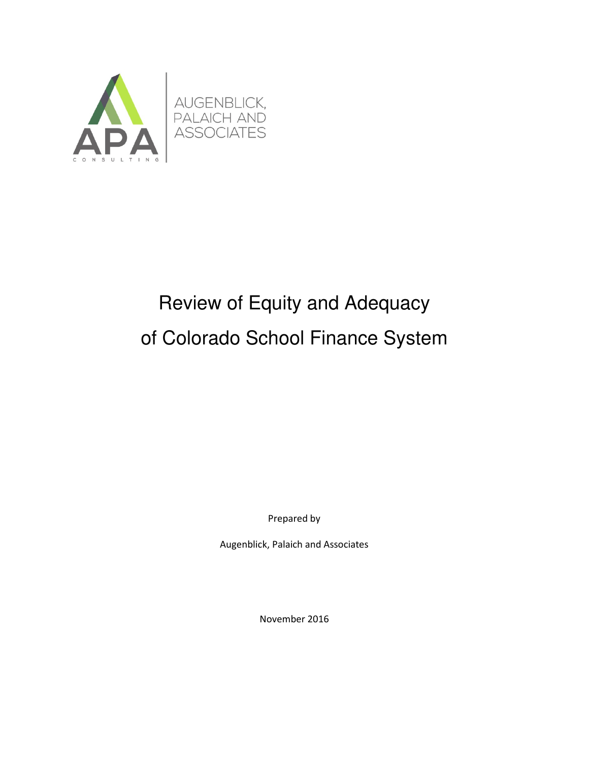

# Review of Equity and Adequacy of Colorado School Finance System

Prepared by

Augenblick, Palaich and Associates

November 2016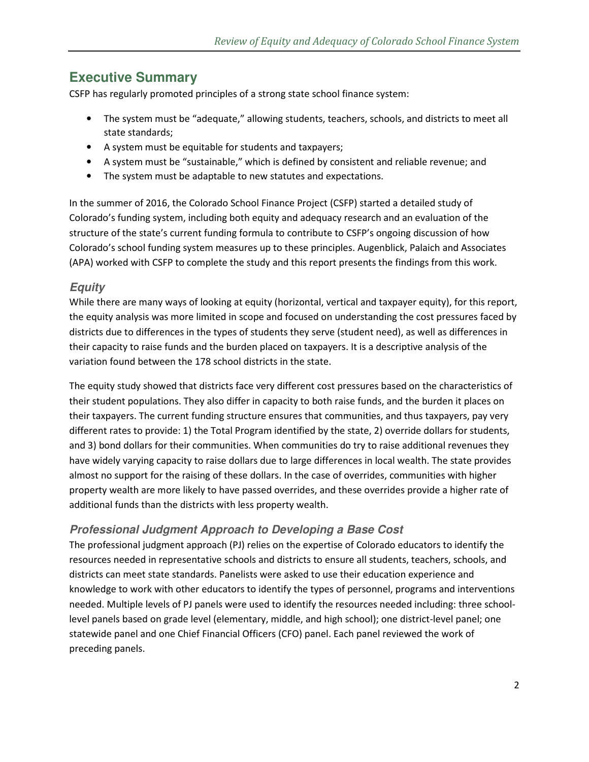# **Executive Summary**

CSFP has regularly promoted principles of a strong state school finance system:

- The system must be "adequate," allowing students, teachers, schools, and districts to meet all state standards;
- A system must be equitable for students and taxpayers;
- A system must be "sustainable," which is defined by consistent and reliable revenue; and
- The system must be adaptable to new statutes and expectations.

In the summer of 2016, the Colorado School Finance Project (CSFP) started a detailed study of Colorado's funding system, including both equity and adequacy research and an evaluation of the structure of the state's current funding formula to contribute to CSFP's ongoing discussion of how Colorado's school funding system measures up to these principles. Augenblick, Palaich and Associates (APA) worked with CSFP to complete the study and this report presents the findings from this work.

### **Equity**

While there are many ways of looking at equity (horizontal, vertical and taxpayer equity), for this report, the equity analysis was more limited in scope and focused on understanding the cost pressures faced by districts due to differences in the types of students they serve (student need), as well as differences in their capacity to raise funds and the burden placed on taxpayers. It is a descriptive analysis of the variation found between the 178 school districts in the state.

The equity study showed that districts face very different cost pressures based on the characteristics of their student populations. They also differ in capacity to both raise funds, and the burden it places on their taxpayers. The current funding structure ensures that communities, and thus taxpayers, pay very different rates to provide: 1) the Total Program identified by the state, 2) override dollars for students, and 3) bond dollars for their communities. When communities do try to raise additional revenues they have widely varying capacity to raise dollars due to large differences in local wealth. The state provides almost no support for the raising of these dollars. In the case of overrides, communities with higher property wealth are more likely to have passed overrides, and these overrides provide a higher rate of additional funds than the districts with less property wealth.

### **Professional Judgment Approach to Developing a Base Cost**

The professional judgment approach (PJ) relies on the expertise of Colorado educators to identify the resources needed in representative schools and districts to ensure all students, teachers, schools, and districts can meet state standards. Panelists were asked to use their education experience and knowledge to work with other educators to identify the types of personnel, programs and interventions needed. Multiple levels of PJ panels were used to identify the resources needed including: three schoollevel panels based on grade level (elementary, middle, and high school); one district-level panel; one statewide panel and one Chief Financial Officers (CFO) panel. Each panel reviewed the work of preceding panels.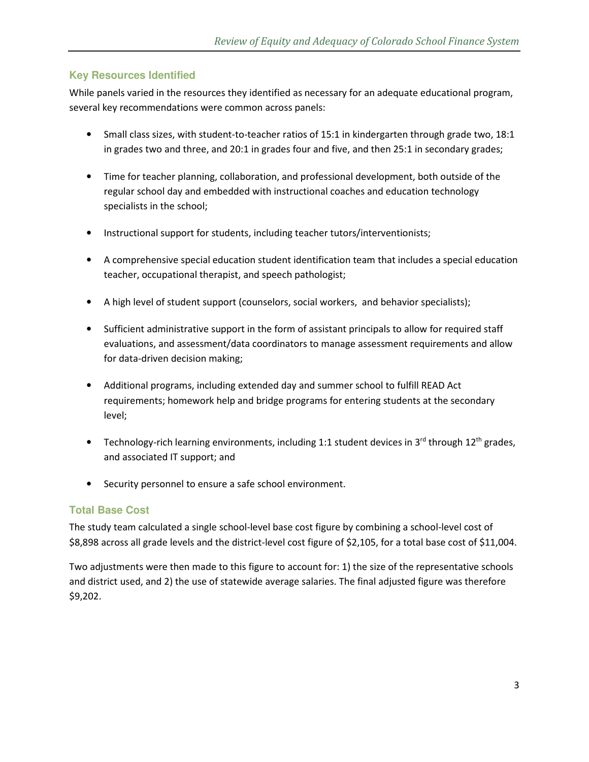### **Key Resources Identified**

While panels varied in the resources they identified as necessary for an adequate educational program, several key recommendations were common across panels:

- Small class sizes, with student-to-teacher ratios of 15:1 in kindergarten through grade two, 18:1 in grades two and three, and 20:1 in grades four and five, and then 25:1 in secondary grades;
- Time for teacher planning, collaboration, and professional development, both outside of the regular school day and embedded with instructional coaches and education technology specialists in the school;
- Instructional support for students, including teacher tutors/interventionists;
- A comprehensive special education student identification team that includes a special education teacher, occupational therapist, and speech pathologist;
- A high level of student support (counselors, social workers, and behavior specialists);
- Sufficient administrative support in the form of assistant principals to allow for required staff evaluations, and assessment/data coordinators to manage assessment requirements and allow for data-driven decision making;
- Additional programs, including extended day and summer school to fulfill READ Act requirements; homework help and bridge programs for entering students at the secondary level;
- Technology-rich learning environments, including 1:1 student devices in 3<sup>rd</sup> through 12<sup>th</sup> grades, and associated IT support; and
- Security personnel to ensure a safe school environment.

### **Total Base Cost**

The study team calculated a single school-level base cost figure by combining a school-level cost of \$8,898 across all grade levels and the district-level cost figure of \$2,105, for a total base cost of \$11,004.

Two adjustments were then made to this figure to account for: 1) the size of the representative schools and district used, and 2) the use of statewide average salaries. The final adjusted figure was therefore \$9,202.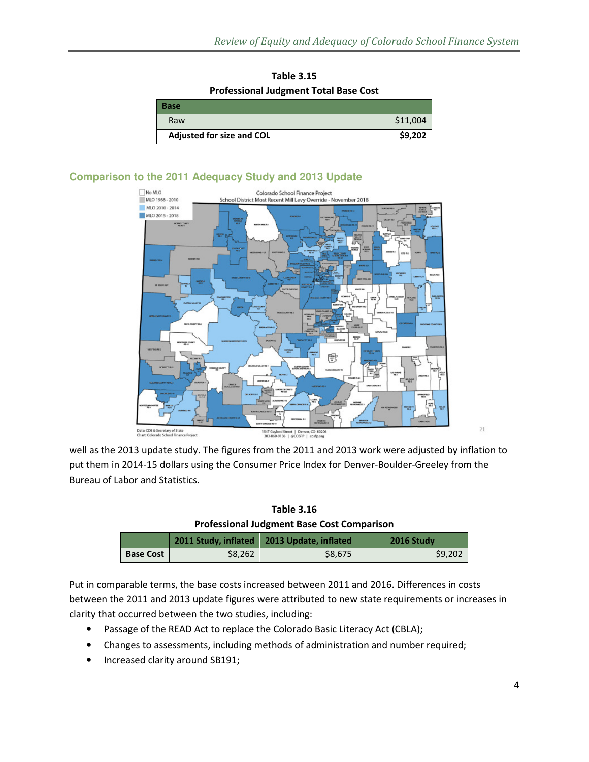| <b>Table 3.15</b>                            |
|----------------------------------------------|
| <b>Professional Judgment Total Base Cost</b> |

| Base                             |          |
|----------------------------------|----------|
| Raw                              | \$11,004 |
| <b>Adjusted for size and COL</b> | \$9,202  |

### **Comparison to the 2011 Adequacy Study and 2013 Update**



well as the 2013 update study. The figures from the 2011 and 2013 work were adjusted by inflation to put them in 2014-15 dollars using the Consumer Price Index for Denver-Boulder-Greeley from the Bureau of Labor and Statistics.

**Table 3.16 Professional Judgment Base Cost Comparison** 

|                  |         | 2011 Study, inflated   2013 Update, inflated | 2016 Study |
|------------------|---------|----------------------------------------------|------------|
| <b>Base Cost</b> | \$8,262 | \$8.675                                      | \$9.202    |

Put in comparable terms, the base costs increased between 2011 and 2016. Differences in costs between the 2011 and 2013 update figures were attributed to new state requirements or increases in clarity that occurred between the two studies, including:

- Passage of the READ Act to replace the Colorado Basic Literacy Act (CBLA);
- Changes to assessments, including methods of administration and number required;
- Increased clarity around SB191;

 $21$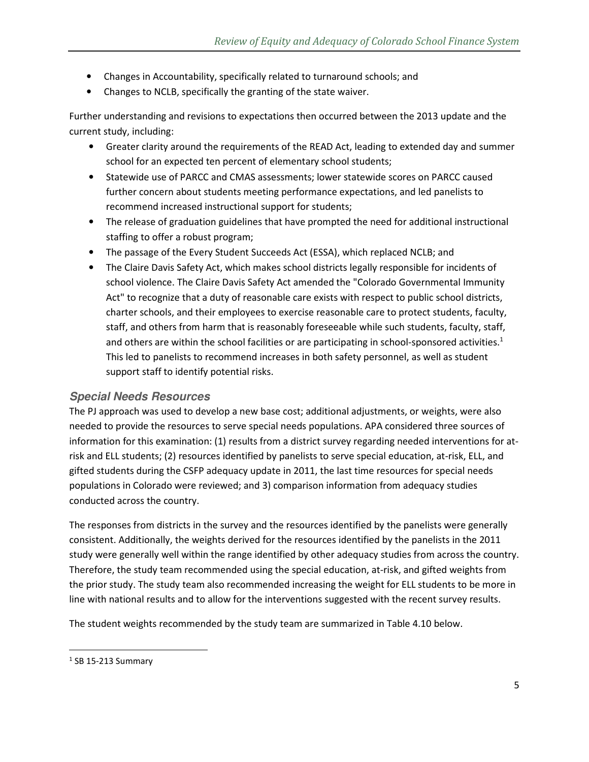- Changes in Accountability, specifically related to turnaround schools; and
- Changes to NCLB, specifically the granting of the state waiver.

Further understanding and revisions to expectations then occurred between the 2013 update and the current study, including:

- Greater clarity around the requirements of the READ Act, leading to extended day and summer school for an expected ten percent of elementary school students;
- Statewide use of PARCC and CMAS assessments; lower statewide scores on PARCC caused further concern about students meeting performance expectations, and led panelists to recommend increased instructional support for students;
- The release of graduation guidelines that have prompted the need for additional instructional staffing to offer a robust program;
- The passage of the Every Student Succeeds Act (ESSA), which replaced NCLB; and
- The Claire Davis Safety Act, which makes school districts legally responsible for incidents of school violence. The Claire Davis Safety Act amended the "Colorado Governmental Immunity Act" to recognize that a duty of reasonable care exists with respect to public school districts, charter schools, and their employees to exercise reasonable care to protect students, faculty, staff, and others from harm that is reasonably foreseeable while such students, faculty, staff, and others are within the school facilities or are participating in school-sponsored activities.<sup>1</sup> This led to panelists to recommend increases in both safety personnel, as well as student support staff to identify potential risks.

#### **Special Needs Resources**

The PJ approach was used to develop a new base cost; additional adjustments, or weights, were also needed to provide the resources to serve special needs populations. APA considered three sources of information for this examination: (1) results from a district survey regarding needed interventions for atrisk and ELL students; (2) resources identified by panelists to serve special education, at-risk, ELL, and gifted students during the CSFP adequacy update in 2011, the last time resources for special needs populations in Colorado were reviewed; and 3) comparison information from adequacy studies conducted across the country.

The responses from districts in the survey and the resources identified by the panelists were generally consistent. Additionally, the weights derived for the resources identified by the panelists in the 2011 study were generally well within the range identified by other adequacy studies from across the country. Therefore, the study team recommended using the special education, at-risk, and gifted weights from the prior study. The study team also recommended increasing the weight for ELL students to be more in line with national results and to allow for the interventions suggested with the recent survey results.

The student weights recommended by the study team are summarized in Table 4.10 below.

 $\overline{\phantom{0}}$ 

 $<sup>1</sup>$  SB 15-213 Summary</sup>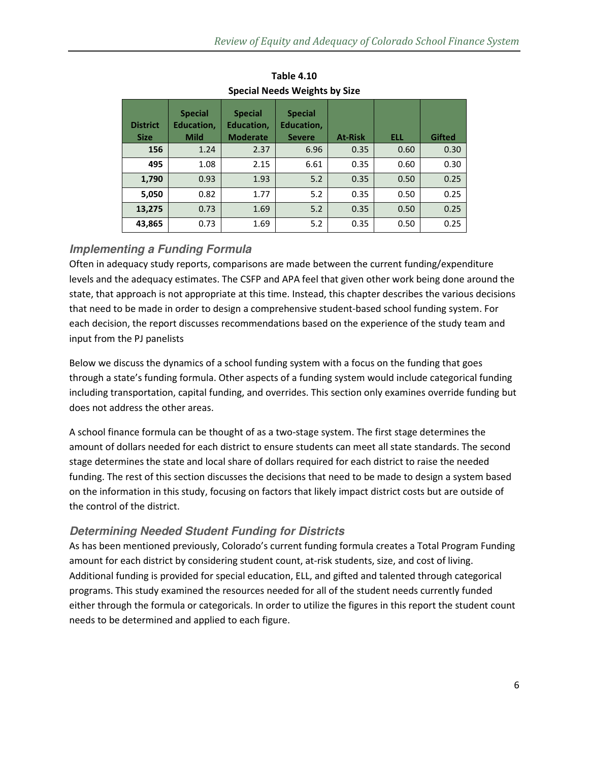| <b>District</b><br><b>Size</b> | <b>Special</b><br><b>Education,</b><br><b>Mild</b> | <b>Special</b><br><b>Education,</b><br><b>Moderate</b> | <b>Special</b><br><b>Education,</b><br><b>Severe</b> | <b>At-Risk</b> | <b>ELL</b> | <b>Gifted</b> |
|--------------------------------|----------------------------------------------------|--------------------------------------------------------|------------------------------------------------------|----------------|------------|---------------|
| 156                            | 1.24                                               | 2.37                                                   | 6.96                                                 | 0.35           | 0.60       | 0.30          |
| 495                            | 1.08                                               | 2.15                                                   | 6.61                                                 | 0.35           | 0.60       | 0.30          |
| 1,790                          | 0.93                                               | 1.93                                                   | 5.2                                                  | 0.35           | 0.50       | 0.25          |
| 5,050                          | 0.82                                               | 1.77                                                   | 5.2                                                  | 0.35           | 0.50       | 0.25          |
| 13,275                         | 0.73                                               | 1.69                                                   | 5.2                                                  | 0.35           | 0.50       | 0.25          |
| 43,865                         | 0.73                                               | 1.69                                                   | 5.2                                                  | 0.35           | 0.50       | 0.25          |

**Table 4.10 Special Needs Weights by Size** 

# **Implementing a Funding Formula**

Often in adequacy study reports, comparisons are made between the current funding/expenditure levels and the adequacy estimates. The CSFP and APA feel that given other work being done around the state, that approach is not appropriate at this time. Instead, this chapter describes the various decisions that need to be made in order to design a comprehensive student-based school funding system. For each decision, the report discusses recommendations based on the experience of the study team and input from the PJ panelists

Below we discuss the dynamics of a school funding system with a focus on the funding that goes through a state's funding formula. Other aspects of a funding system would include categorical funding including transportation, capital funding, and overrides. This section only examines override funding but does not address the other areas.

A school finance formula can be thought of as a two-stage system. The first stage determines the amount of dollars needed for each district to ensure students can meet all state standards. The second stage determines the state and local share of dollars required for each district to raise the needed funding. The rest of this section discusses the decisions that need to be made to design a system based on the information in this study, focusing on factors that likely impact district costs but are outside of the control of the district.

# **Determining Needed Student Funding for Districts**

As has been mentioned previously, Colorado's current funding formula creates a Total Program Funding amount for each district by considering student count, at-risk students, size, and cost of living. Additional funding is provided for special education, ELL, and gifted and talented through categorical programs. This study examined the resources needed for all of the student needs currently funded either through the formula or categoricals. In order to utilize the figures in this report the student count needs to be determined and applied to each figure.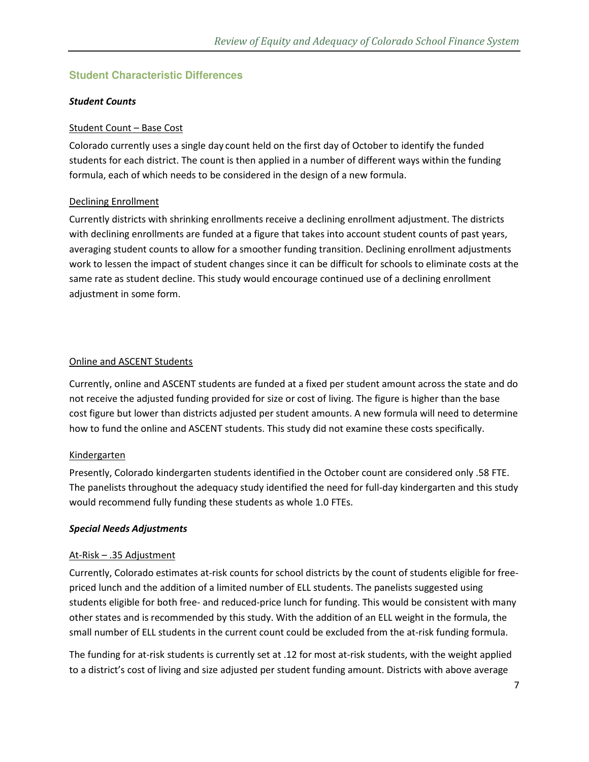### **Student Characteristic Differences**

#### *Student Counts*

#### Student Count – Base Cost

Colorado currently uses a single day count held on the first day of October to identify the funded students for each district. The count is then applied in a number of different ways within the funding formula, each of which needs to be considered in the design of a new formula.

### Declining Enrollment

Currently districts with shrinking enrollments receive a declining enrollment adjustment. The districts with declining enrollments are funded at a figure that takes into account student counts of past years, averaging student counts to allow for a smoother funding transition. Declining enrollment adjustments work to lessen the impact of student changes since it can be difficult for schools to eliminate costs at the same rate as student decline. This study would encourage continued use of a declining enrollment adjustment in some form.

### Online and ASCENT Students

Currently, online and ASCENT students are funded at a fixed per student amount across the state and do not receive the adjusted funding provided for size or cost of living. The figure is higher than the base cost figure but lower than districts adjusted per student amounts. A new formula will need to determine how to fund the online and ASCENT students. This study did not examine these costs specifically.

#### Kindergarten

Presently, Colorado kindergarten students identified in the October count are considered only .58 FTE. The panelists throughout the adequacy study identified the need for full-day kindergarten and this study would recommend fully funding these students as whole 1.0 FTEs.

#### *Special Needs Adjustments*

#### At-Risk – .35 Adjustment

Currently, Colorado estimates at-risk counts for school districts by the count of students eligible for freepriced lunch and the addition of a limited number of ELL students. The panelists suggested using students eligible for both free- and reduced-price lunch for funding. This would be consistent with many other states and is recommended by this study. With the addition of an ELL weight in the formula, the small number of ELL students in the current count could be excluded from the at-risk funding formula.

The funding for at-risk students is currently set at .12 for most at-risk students, with the weight applied to a district's cost of living and size adjusted per student funding amount. Districts with above average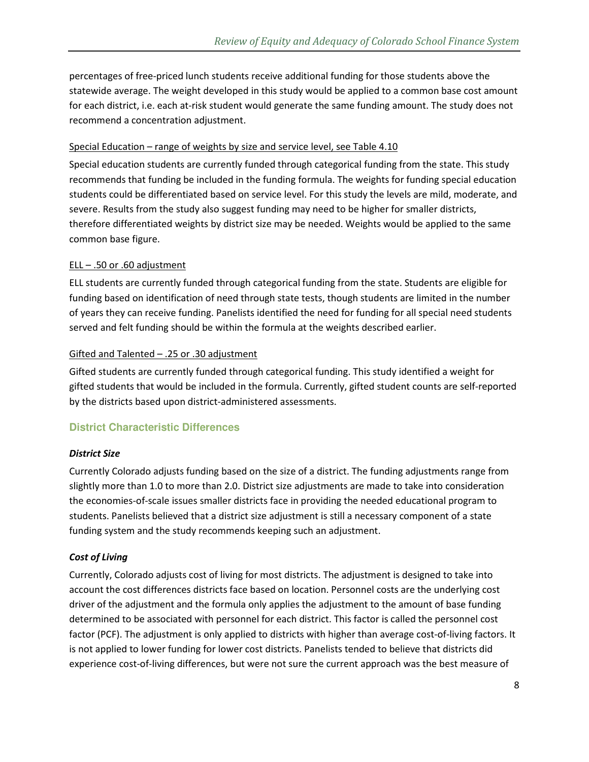percentages of free-priced lunch students receive additional funding for those students above the statewide average. The weight developed in this study would be applied to a common base cost amount for each district, i.e. each at-risk student would generate the same funding amount. The study does not recommend a concentration adjustment.

#### Special Education – range of weights by size and service level, see Table 4.10

Special education students are currently funded through categorical funding from the state. This study recommends that funding be included in the funding formula. The weights for funding special education students could be differentiated based on service level. For this study the levels are mild, moderate, and severe. Results from the study also suggest funding may need to be higher for smaller districts, therefore differentiated weights by district size may be needed. Weights would be applied to the same common base figure.

### ELL – .50 or .60 adjustment

ELL students are currently funded through categorical funding from the state. Students are eligible for funding based on identification of need through state tests, though students are limited in the number of years they can receive funding. Panelists identified the need for funding for all special need students served and felt funding should be within the formula at the weights described earlier.

### Gifted and Talented – .25 or .30 adjustment

Gifted students are currently funded through categorical funding. This study identified a weight for gifted students that would be included in the formula. Currently, gifted student counts are self-reported by the districts based upon district-administered assessments.

### **District Characteristic Differences**

### *District Size*

Currently Colorado adjusts funding based on the size of a district. The funding adjustments range from slightly more than 1.0 to more than 2.0. District size adjustments are made to take into consideration the economies-of-scale issues smaller districts face in providing the needed educational program to students. Panelists believed that a district size adjustment is still a necessary component of a state funding system and the study recommends keeping such an adjustment.

### *Cost of Living*

Currently, Colorado adjusts cost of living for most districts. The adjustment is designed to take into account the cost differences districts face based on location. Personnel costs are the underlying cost driver of the adjustment and the formula only applies the adjustment to the amount of base funding determined to be associated with personnel for each district. This factor is called the personnel cost factor (PCF). The adjustment is only applied to districts with higher than average cost-of-living factors. It is not applied to lower funding for lower cost districts. Panelists tended to believe that districts did experience cost-of-living differences, but were not sure the current approach was the best measure of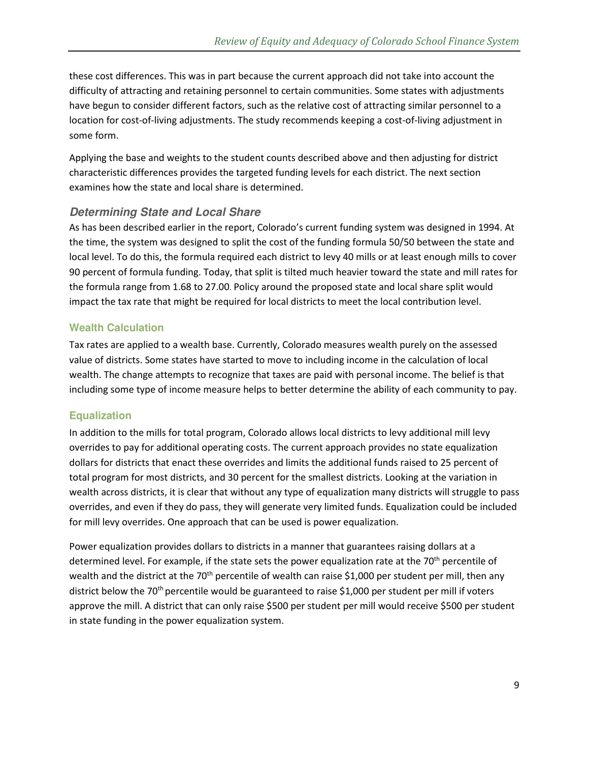these cost differences. This was in part because the current approach did not take into account the difficulty of attracting and retaining personnel to certain communities. Some states with adjustments have begun to consider different factors, such as the relative cost of attracting similar personnel to a location for cost-of-living adjustments. The study recommends keeping a cost-of-living adjustment in some form.

Applying the base and weights to the student counts described above and then adjusting for district characteristic differences provides the targeted funding levels for each district. The next section examines how the state and local share is determined.

### **Determining State and Local Share**

As has been described earlier in the report, Colorado's current funding system was designed in 1994. At the time, the system was designed to split the cost of the funding formula 50/50 between the state and local level. To do this, the formula required each district to levy 40 mills or at least enough mills to cover 90 percent of formula funding. Today, that split is tilted much heavier toward the state and mill rates for the formula range from 1.68 to 27.00. Policy around the proposed state and local share split would impact the tax rate that might be required for local districts to meet the local contribution level.

#### **Wealth Calculation**

Tax rates are applied to a wealth base. Currently, Colorado measures wealth purely on the assessed value of districts. Some states have started to move to including income in the calculation of local wealth. The change attempts to recognize that taxes are paid with personal income. The belief is that including some type of income measure helps to better determine the ability of each community to pay.

#### **Equalization**

In addition to the mills for total program, Colorado allows local districts to levy additional mill levy overrides to pay for additional operating costs. The current approach provides no state equalization dollars for districts that enact these overrides and limits the additional funds raised to 25 percent of total program for most districts, and 30 percent for the smallest districts. Looking at the variation in wealth across districts, it is clear that without any type of equalization many districts will struggle to pass overrides, and even if they do pass, they will generate very limited funds. Equalization could be included for mill levy overrides. One approach that can be used is power equalization.

Power equalization provides dollars to districts in a manner that guarantees raising dollars at a determined level. For example, if the state sets the power equalization rate at the 70<sup>th</sup> percentile of wealth and the district at the 70<sup>th</sup> percentile of wealth can raise \$1,000 per student per mill, then any district below the 70<sup>th</sup> percentile would be guaranteed to raise \$1,000 per student per mill if voters approve the mill. A district that can only raise \$500 per student per mill would receive \$500 per student in state funding in the power equalization system.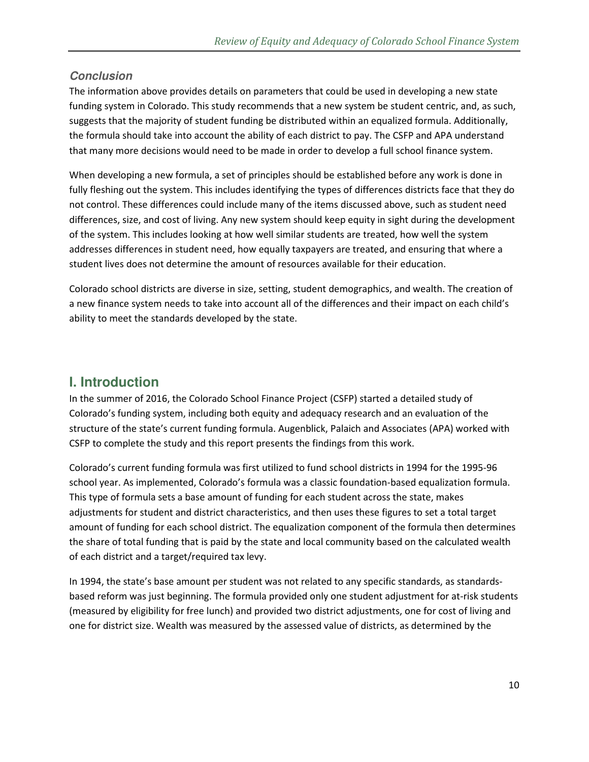### **Conclusion**

The information above provides details on parameters that could be used in developing a new state funding system in Colorado. This study recommends that a new system be student centric, and, as such, suggests that the majority of student funding be distributed within an equalized formula. Additionally, the formula should take into account the ability of each district to pay. The CSFP and APA understand that many more decisions would need to be made in order to develop a full school finance system.

When developing a new formula, a set of principles should be established before any work is done in fully fleshing out the system. This includes identifying the types of differences districts face that they do not control. These differences could include many of the items discussed above, such as student need differences, size, and cost of living. Any new system should keep equity in sight during the development of the system. This includes looking at how well similar students are treated, how well the system addresses differences in student need, how equally taxpayers are treated, and ensuring that where a student lives does not determine the amount of resources available for their education.

Colorado school districts are diverse in size, setting, student demographics, and wealth. The creation of a new finance system needs to take into account all of the differences and their impact on each child's ability to meet the standards developed by the state.

# **I. Introduction**

In the summer of 2016, the Colorado School Finance Project (CSFP) started a detailed study of Colorado's funding system, including both equity and adequacy research and an evaluation of the structure of the state's current funding formula. Augenblick, Palaich and Associates (APA) worked with CSFP to complete the study and this report presents the findings from this work.

Colorado's current funding formula was first utilized to fund school districts in 1994 for the 1995-96 school year. As implemented, Colorado's formula was a classic foundation-based equalization formula. This type of formula sets a base amount of funding for each student across the state, makes adjustments for student and district characteristics, and then uses these figures to set a total target amount of funding for each school district. The equalization component of the formula then determines the share of total funding that is paid by the state and local community based on the calculated wealth of each district and a target/required tax levy.

In 1994, the state's base amount per student was not related to any specific standards, as standardsbased reform was just beginning. The formula provided only one student adjustment for at-risk students (measured by eligibility for free lunch) and provided two district adjustments, one for cost of living and one for district size. Wealth was measured by the assessed value of districts, as determined by the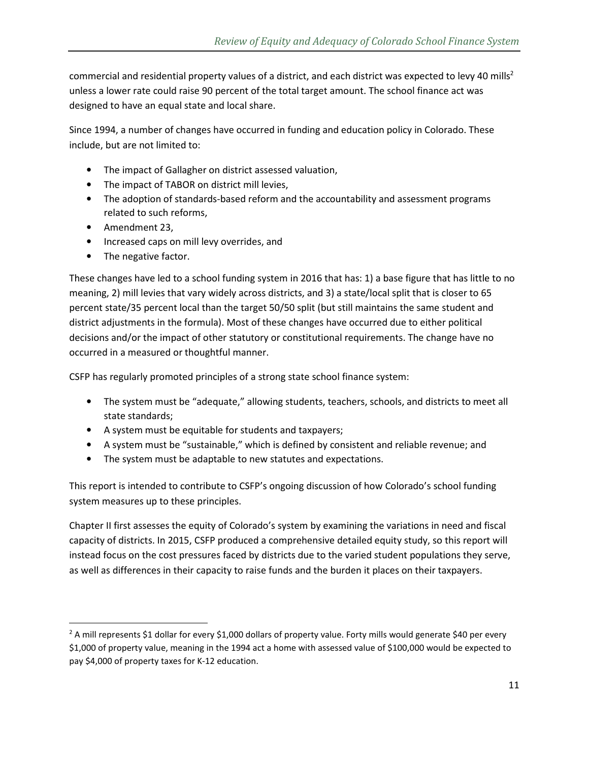commercial and residential property values of a district, and each district was expected to levy 40 mills<sup>2</sup> unless a lower rate could raise 90 percent of the total target amount. The school finance act was designed to have an equal state and local share.

Since 1994, a number of changes have occurred in funding and education policy in Colorado. These include, but are not limited to:

- The impact of Gallagher on district assessed valuation,
- The impact of TABOR on district mill levies,
- The adoption of standards-based reform and the accountability and assessment programs related to such reforms,
- Amendment 23,

-

- Increased caps on mill levy overrides, and
- The negative factor.

These changes have led to a school funding system in 2016 that has: 1) a base figure that has little to no meaning, 2) mill levies that vary widely across districts, and 3) a state/local split that is closer to 65 percent state/35 percent local than the target 50/50 split (but still maintains the same student and district adjustments in the formula). Most of these changes have occurred due to either political decisions and/or the impact of other statutory or constitutional requirements. The change have no occurred in a measured or thoughtful manner.

CSFP has regularly promoted principles of a strong state school finance system:

- The system must be "adequate," allowing students, teachers, schools, and districts to meet all state standards;
- A system must be equitable for students and taxpayers;
- A system must be "sustainable," which is defined by consistent and reliable revenue; and
- The system must be adaptable to new statutes and expectations.

This report is intended to contribute to CSFP's ongoing discussion of how Colorado's school funding system measures up to these principles.

Chapter II first assesses the equity of Colorado's system by examining the variations in need and fiscal capacity of districts. In 2015, CSFP produced a comprehensive detailed equity study, so this report will instead focus on the cost pressures faced by districts due to the varied student populations they serve, as well as differences in their capacity to raise funds and the burden it places on their taxpayers.

 $2$  A mill represents \$1 dollar for every \$1,000 dollars of property value. Forty mills would generate \$40 per every \$1,000 of property value, meaning in the 1994 act a home with assessed value of \$100,000 would be expected to pay \$4,000 of property taxes for K-12 education.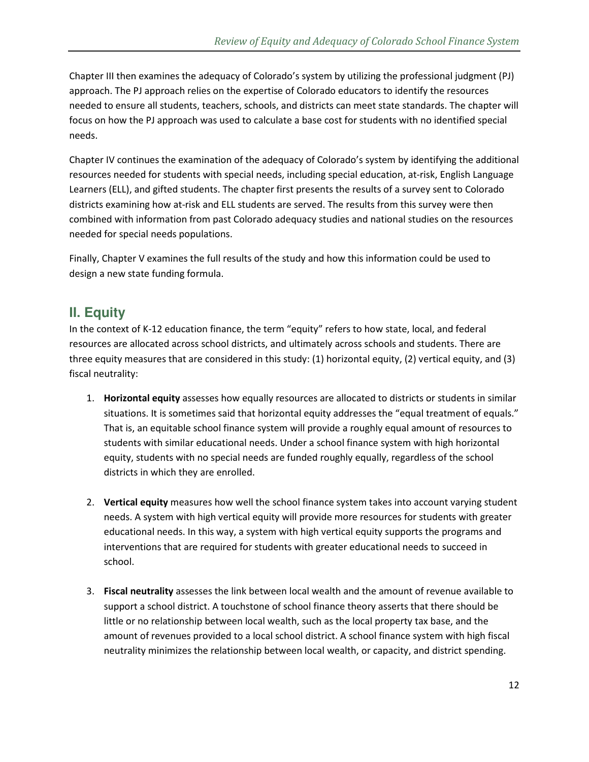Chapter III then examines the adequacy of Colorado's system by utilizing the professional judgment (PJ) approach. The PJ approach relies on the expertise of Colorado educators to identify the resources needed to ensure all students, teachers, schools, and districts can meet state standards. The chapter will focus on how the PJ approach was used to calculate a base cost for students with no identified special needs.

Chapter IV continues the examination of the adequacy of Colorado's system by identifying the additional resources needed for students with special needs, including special education, at-risk, English Language Learners (ELL), and gifted students. The chapter first presents the results of a survey sent to Colorado districts examining how at-risk and ELL students are served. The results from this survey were then combined with information from past Colorado adequacy studies and national studies on the resources needed for special needs populations.

Finally, Chapter V examines the full results of the study and how this information could be used to design a new state funding formula.

# **II. Equity**

In the context of K-12 education finance, the term "equity" refers to how state, local, and federal resources are allocated across school districts, and ultimately across schools and students. There are three equity measures that are considered in this study: (1) horizontal equity, (2) vertical equity, and (3) fiscal neutrality:

- 1. **Horizontal equity** assesses how equally resources are allocated to districts or students in similar situations. It is sometimes said that horizontal equity addresses the "equal treatment of equals." That is, an equitable school finance system will provide a roughly equal amount of resources to students with similar educational needs. Under a school finance system with high horizontal equity, students with no special needs are funded roughly equally, regardless of the school districts in which they are enrolled.
- 2. **Vertical equity** measures how well the school finance system takes into account varying student needs. A system with high vertical equity will provide more resources for students with greater educational needs. In this way, a system with high vertical equity supports the programs and interventions that are required for students with greater educational needs to succeed in school.
- 3. **Fiscal neutrality** assesses the link between local wealth and the amount of revenue available to support a school district. A touchstone of school finance theory asserts that there should be little or no relationship between local wealth, such as the local property tax base, and the amount of revenues provided to a local school district. A school finance system with high fiscal neutrality minimizes the relationship between local wealth, or capacity, and district spending.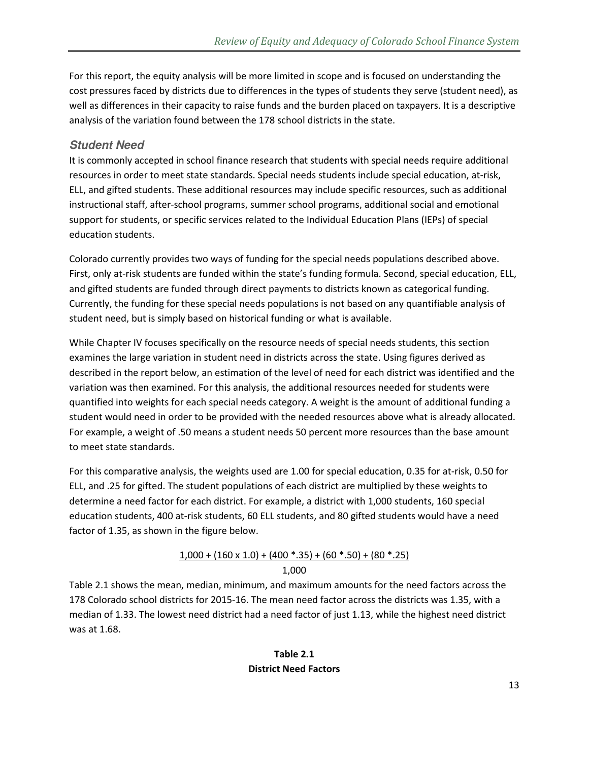For this report, the equity analysis will be more limited in scope and is focused on understanding the cost pressures faced by districts due to differences in the types of students they serve (student need), as well as differences in their capacity to raise funds and the burden placed on taxpayers. It is a descriptive analysis of the variation found between the 178 school districts in the state.

### **Student Need**

It is commonly accepted in school finance research that students with special needs require additional resources in order to meet state standards. Special needs students include special education, at-risk, ELL, and gifted students. These additional resources may include specific resources, such as additional instructional staff, after-school programs, summer school programs, additional social and emotional support for students, or specific services related to the Individual Education Plans (IEPs) of special education students.

Colorado currently provides two ways of funding for the special needs populations described above. First, only at-risk students are funded within the state's funding formula. Second, special education, ELL, and gifted students are funded through direct payments to districts known as categorical funding. Currently, the funding for these special needs populations is not based on any quantifiable analysis of student need, but is simply based on historical funding or what is available.

While Chapter IV focuses specifically on the resource needs of special needs students, this section examines the large variation in student need in districts across the state. Using figures derived as described in the report below, an estimation of the level of need for each district was identified and the variation was then examined. For this analysis, the additional resources needed for students were quantified into weights for each special needs category. A weight is the amount of additional funding a student would need in order to be provided with the needed resources above what is already allocated. For example, a weight of .50 means a student needs 50 percent more resources than the base amount to meet state standards.

For this comparative analysis, the weights used are 1.00 for special education, 0.35 for at-risk, 0.50 for ELL, and .25 for gifted. The student populations of each district are multiplied by these weights to determine a need factor for each district. For example, a district with 1,000 students, 160 special education students, 400 at-risk students, 60 ELL students, and 80 gifted students would have a need factor of 1.35, as shown in the figure below.

### $1,000 + (160 \times 1.0) + (400 * .35) + (60 * .50) + (80 * .25)$

#### 1,000

Table 2.1 shows the mean, median, minimum, and maximum amounts for the need factors across the 178 Colorado school districts for 2015-16. The mean need factor across the districts was 1.35, with a median of 1.33. The lowest need district had a need factor of just 1.13, while the highest need district was at 1.68.

### **Table 2.1 District Need Factors**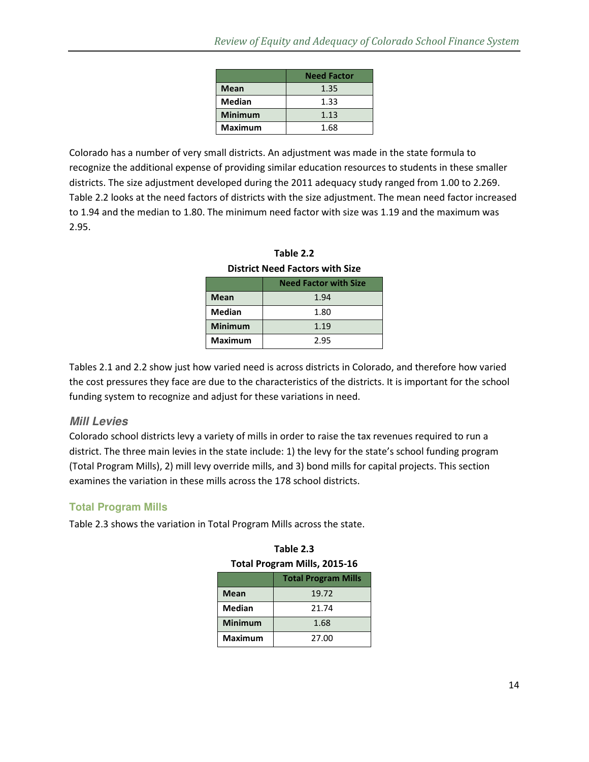|                | <b>Need Factor</b> |
|----------------|--------------------|
| <b>Mean</b>    | 1.35               |
| <b>Median</b>  | 1.33               |
| <b>Minimum</b> | 1.13               |
| <b>Maximum</b> | 1.68               |

Colorado has a number of very small districts. An adjustment was made in the state formula to recognize the additional expense of providing similar education resources to students in these smaller districts. The size adjustment developed during the 2011 adequacy study ranged from 1.00 to 2.269. Table 2.2 looks at the need factors of districts with the size adjustment. The mean need factor increased to 1.94 and the median to 1.80. The minimum need factor with size was 1.19 and the maximum was 2.95.

| PISLIILLINEEU FALLUIS WILII SIZE |                              |  |
|----------------------------------|------------------------------|--|
|                                  | <b>Need Factor with Size</b> |  |
| <b>Mean</b>                      | 1.94                         |  |
| <b>Median</b>                    | 1.80                         |  |
| <b>Minimum</b>                   | 1.19                         |  |
| <b>Maximum</b>                   | 2.95                         |  |

**Table 2.2 District Need Factors with Size** 

Tables 2.1 and 2.2 show just how varied need is across districts in Colorado, and therefore how varied the cost pressures they face are due to the characteristics of the districts. It is important for the school funding system to recognize and adjust for these variations in need.

#### **Mill Levies**

Colorado school districts levy a variety of mills in order to raise the tax revenues required to run a district. The three main levies in the state include: 1) the levy for the state's school funding program (Total Program Mills), 2) mill levy override mills, and 3) bond mills for capital projects. This section examines the variation in these mills across the 178 school districts.

### **Total Program Mills**

Table 2.3 shows the variation in Total Program Mills across the state.

| <b>Total Program Mills, 2015-16</b> |                            |  |
|-------------------------------------|----------------------------|--|
|                                     | <b>Total Program Mills</b> |  |
| <b>Mean</b>                         | 19.72                      |  |
| Median                              | 21.74                      |  |
| <b>Minimum</b>                      | 1.68                       |  |
| <b>Maximum</b>                      | 27.00                      |  |

**Table 2.3**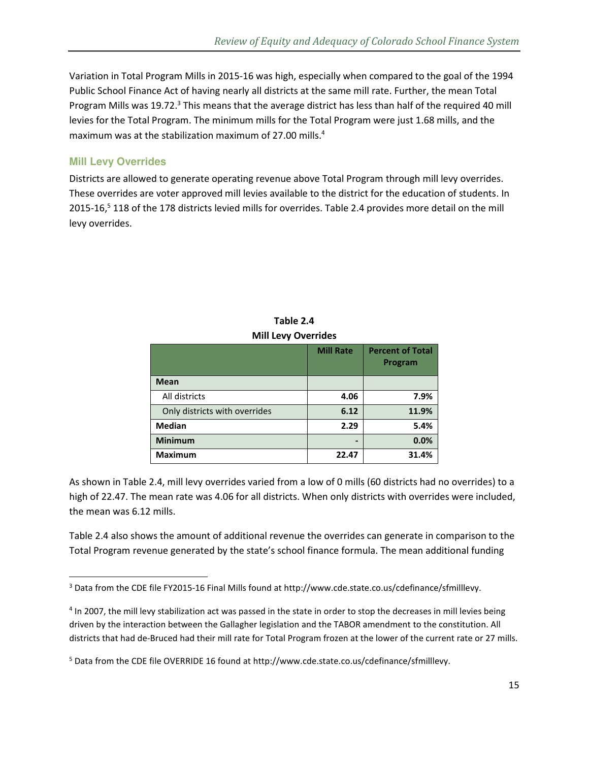Variation in Total Program Mills in 2015-16 was high, especially when compared to the goal of the 1994 Public School Finance Act of having nearly all districts at the same mill rate. Further, the mean Total Program Mills was 19.72.<sup>3</sup> This means that the average district has less than half of the required 40 mill levies for the Total Program. The minimum mills for the Total Program were just 1.68 mills, and the maximum was at the stabilization maximum of 27.00 mills. $4$ 

### **Mill Levy Overrides**

<u>.</u>

Districts are allowed to generate operating revenue above Total Program through mill levy overrides. These overrides are voter approved mill levies available to the district for the education of students. In 2015-16,<sup>5</sup> 118 of the 178 districts levied mills for overrides. Table 2.4 provides more detail on the mill levy overrides.

|                               | <b>Mill Rate</b> | <b>Percent of Total</b><br>Program |
|-------------------------------|------------------|------------------------------------|
| <b>Mean</b>                   |                  |                                    |
| All districts                 | 4.06             | 7.9%                               |
| Only districts with overrides | 6.12             | 11.9%                              |
| <b>Median</b>                 | 2.29             | 5.4%                               |
| <b>Minimum</b>                |                  | 0.0%                               |
| <b>Maximum</b>                | 22.47            | 31.4%                              |

**Table 2.4 Mill Levy Overrides** 

As shown in Table 2.4, mill levy overrides varied from a low of 0 mills (60 districts had no overrides) to a high of 22.47. The mean rate was 4.06 for all districts. When only districts with overrides were included, the mean was 6.12 mills.

Table 2.4 also shows the amount of additional revenue the overrides can generate in comparison to the Total Program revenue generated by the state's school finance formula. The mean additional funding

<sup>&</sup>lt;sup>3</sup> Data from the CDE file FY2015-16 Final Mills found at http://www.cde.state.co.us/cdefinance/sfmilllevy.

<sup>&</sup>lt;sup>4</sup> In 2007, the mill levy stabilization act was passed in the state in order to stop the decreases in mill levies being driven by the interaction between the Gallagher legislation and the TABOR amendment to the constitution. All districts that had de-Bruced had their mill rate for Total Program frozen at the lower of the current rate or 27 mills.

<sup>&</sup>lt;sup>5</sup> Data from the CDE file OVERRIDE 16 found at http://www.cde.state.co.us/cdefinance/sfmilllevy.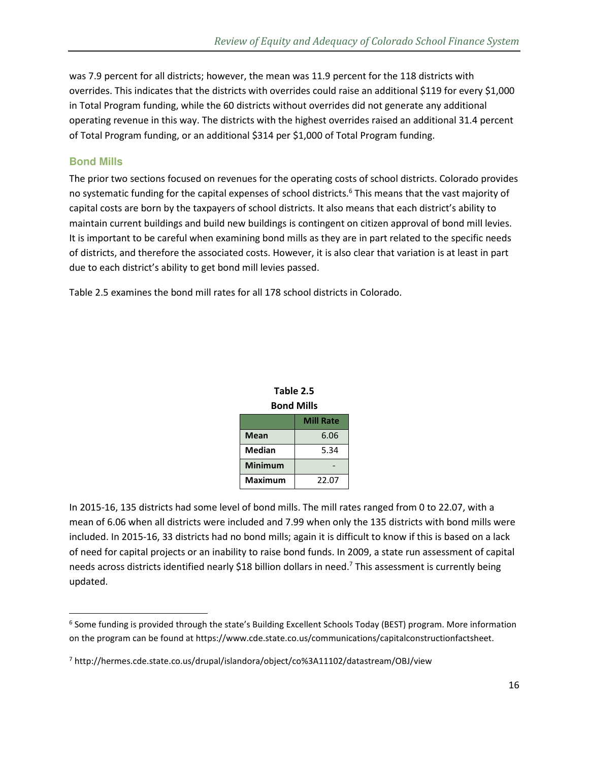was 7.9 percent for all districts; however, the mean was 11.9 percent for the 118 districts with overrides. This indicates that the districts with overrides could raise an additional \$119 for every \$1,000 in Total Program funding, while the 60 districts without overrides did not generate any additional operating revenue in this way. The districts with the highest overrides raised an additional 31.4 percent of Total Program funding, or an additional \$314 per \$1,000 of Total Program funding.

### **Bond Mills**

-

The prior two sections focused on revenues for the operating costs of school districts. Colorado provides no systematic funding for the capital expenses of school districts.<sup>6</sup> This means that the vast majority of capital costs are born by the taxpayers of school districts. It also means that each district's ability to maintain current buildings and build new buildings is contingent on citizen approval of bond mill levies. It is important to be careful when examining bond mills as they are in part related to the specific needs of districts, and therefore the associated costs. However, it is also clear that variation is at least in part due to each district's ability to get bond mill levies passed.

Table 2.5 examines the bond mill rates for all 178 school districts in Colorado.

| Table 2.5         |      |  |  |
|-------------------|------|--|--|
| <b>Bond Mills</b> |      |  |  |
| <b>Mill Rate</b>  |      |  |  |
| <b>Mean</b>       | 6.06 |  |  |
| <b>Median</b>     | 5.34 |  |  |
| <b>Minimum</b>    |      |  |  |

**Maximum** 22.07

In 2015-16, 135 districts had some level of bond mills. The mill rates ranged from 0 to 22.07, with a mean of 6.06 when all districts were included and 7.99 when only the 135 districts with bond mills were included. In 2015-16, 33 districts had no bond mills; again it is difficult to know if this is based on a lack of need for capital projects or an inability to raise bond funds. In 2009, a state run assessment of capital needs across districts identified nearly \$18 billion dollars in need.<sup>7</sup> This assessment is currently being updated.

<sup>&</sup>lt;sup>6</sup> Some funding is provided through the state's Building Excellent Schools Today (BEST) program. More information on the program can be found at https://www.cde.state.co.us/communications/capitalconstructionfactsheet.

<sup>7</sup> http://hermes.cde.state.co.us/drupal/islandora/object/co%3A11102/datastream/OBJ/view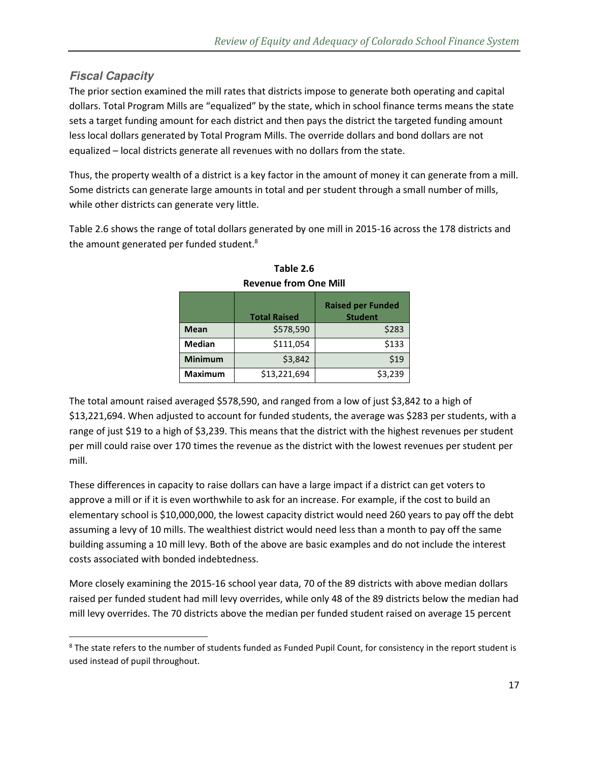### **Fiscal Capacity**

 $\overline{a}$ 

The prior section examined the mill rates that districts impose to generate both operating and capital dollars. Total Program Mills are "equalized" by the state, which in school finance terms means the state sets a target funding amount for each district and then pays the district the targeted funding amount less local dollars generated by Total Program Mills. The override dollars and bond dollars are not equalized – local districts generate all revenues with no dollars from the state.

Thus, the property wealth of a district is a key factor in the amount of money it can generate from a mill. Some districts can generate large amounts in total and per student through a small number of mills, while other districts can generate very little.

Table 2.6 shows the range of total dollars generated by one mill in 2015-16 across the 178 districts and the amount generated per funded student.<sup>8</sup>

|                | <b>Total Raised</b> | <b>Raised per Funded</b><br><b>Student</b> |
|----------------|---------------------|--------------------------------------------|
| <b>Mean</b>    | \$578,590           | \$283                                      |
| <b>Median</b>  | \$111,054           | \$133                                      |
| <b>Minimum</b> | \$3.842             | \$19                                       |
| <b>Maximum</b> | \$13,221,694        | \$3,239                                    |

**Table 2.6 Revenue from One Mill** 

The total amount raised averaged \$578,590, and ranged from a low of just \$3,842 to a high of \$13,221,694. When adjusted to account for funded students, the average was \$283 per students, with a range of just \$19 to a high of \$3,239. This means that the district with the highest revenues per student per mill could raise over 170 times the revenue as the district with the lowest revenues per student per mill.

These differences in capacity to raise dollars can have a large impact if a district can get voters to approve a mill or if it is even worthwhile to ask for an increase. For example, if the cost to build an elementary school is \$10,000,000, the lowest capacity district would need 260 years to pay off the debt assuming a levy of 10 mills. The wealthiest district would need less than a month to pay off the same building assuming a 10 mill levy. Both of the above are basic examples and do not include the interest costs associated with bonded indebtedness.

More closely examining the 2015-16 school year data, 70 of the 89 districts with above median dollars raised per funded student had mill levy overrides, while only 48 of the 89 districts below the median had mill levy overrides. The 70 districts above the median per funded student raised on average 15 percent

<sup>&</sup>lt;sup>8</sup> The state refers to the number of students funded as Funded Pupil Count, for consistency in the report student is used instead of pupil throughout.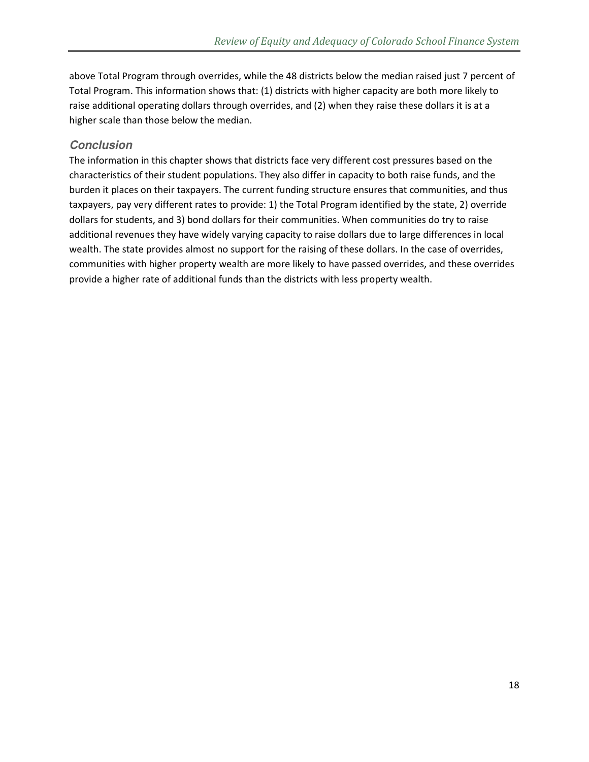above Total Program through overrides, while the 48 districts below the median raised just 7 percent of Total Program. This information shows that: (1) districts with higher capacity are both more likely to raise additional operating dollars through overrides, and (2) when they raise these dollars it is at a higher scale than those below the median.

### **Conclusion**

The information in this chapter shows that districts face very different cost pressures based on the characteristics of their student populations. They also differ in capacity to both raise funds, and the burden it places on their taxpayers. The current funding structure ensures that communities, and thus taxpayers, pay very different rates to provide: 1) the Total Program identified by the state, 2) override dollars for students, and 3) bond dollars for their communities. When communities do try to raise additional revenues they have widely varying capacity to raise dollars due to large differences in local wealth. The state provides almost no support for the raising of these dollars. In the case of overrides, communities with higher property wealth are more likely to have passed overrides, and these overrides provide a higher rate of additional funds than the districts with less property wealth.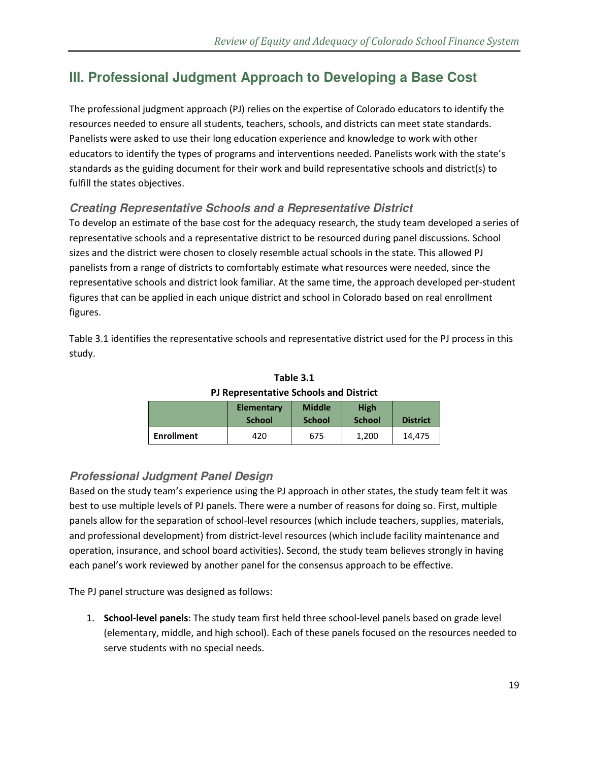# **III. Professional Judgment Approach to Developing a Base Cost**

The professional judgment approach (PJ) relies on the expertise of Colorado educators to identify the resources needed to ensure all students, teachers, schools, and districts can meet state standards. Panelists were asked to use their long education experience and knowledge to work with other educators to identify the types of programs and interventions needed. Panelists work with the state's standards as the guiding document for their work and build representative schools and district(s) to fulfill the states objectives.

### **Creating Representative Schools and a Representative District**

To develop an estimate of the base cost for the adequacy research, the study team developed a series of representative schools and a representative district to be resourced during panel discussions. School sizes and the district were chosen to closely resemble actual schools in the state. This allowed PJ panelists from a range of districts to comfortably estimate what resources were needed, since the representative schools and district look familiar. At the same time, the approach developed per-student figures that can be applied in each unique district and school in Colorado based on real enrollment figures.

Table 3.1 identifies the representative schools and representative district used for the PJ process in this study.

|                   | <b>Elementary</b><br><b>School</b> | <b>Middle</b><br><b>School</b> | <b>High</b><br><b>School</b> | <b>District</b> |
|-------------------|------------------------------------|--------------------------------|------------------------------|-----------------|
| <b>Enrollment</b> | 420                                | 675                            | 1.200                        | 14.475          |

**Table 3.1 PJ Representative Schools and District** 

# **Professional Judgment Panel Design**

Based on the study team's experience using the PJ approach in other states, the study team felt it was best to use multiple levels of PJ panels. There were a number of reasons for doing so. First, multiple panels allow for the separation of school-level resources (which include teachers, supplies, materials, and professional development) from district-level resources (which include facility maintenance and operation, insurance, and school board activities). Second, the study team believes strongly in having each panel's work reviewed by another panel for the consensus approach to be effective.

The PJ panel structure was designed as follows:

1. **School-level panels**: The study team first held three school-level panels based on grade level (elementary, middle, and high school). Each of these panels focused on the resources needed to serve students with no special needs.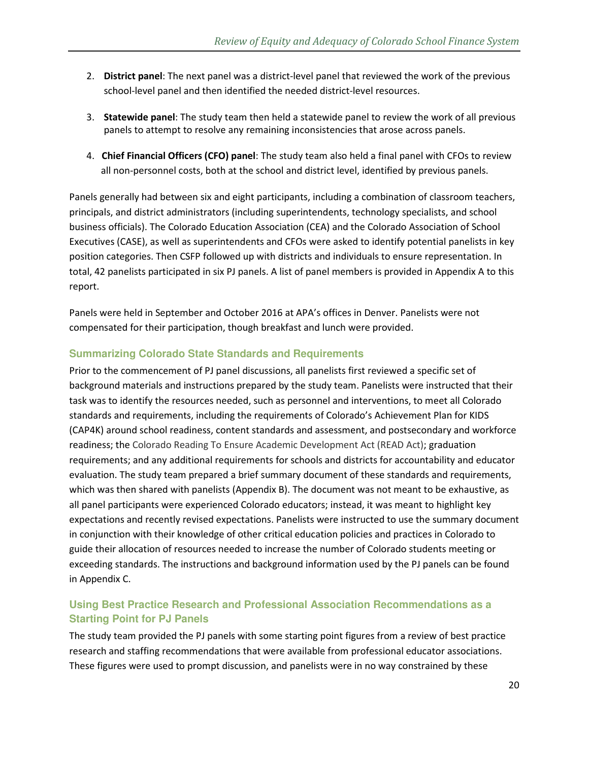- 2. **District panel**: The next panel was a district-level panel that reviewed the work of the previous school-level panel and then identified the needed district-level resources.
- 3. **Statewide panel**: The study team then held a statewide panel to review the work of all previous panels to attempt to resolve any remaining inconsistencies that arose across panels.
- 4. **Chief Financial Officers (CFO) panel**: The study team also held a final panel with CFOs to review all non-personnel costs, both at the school and district level, identified by previous panels.

Panels generally had between six and eight participants, including a combination of classroom teachers, principals, and district administrators (including superintendents, technology specialists, and school business officials). The Colorado Education Association (CEA) and the Colorado Association of School Executives (CASE), as well as superintendents and CFOs were asked to identify potential panelists in key position categories. Then CSFP followed up with districts and individuals to ensure representation. In total, 42 panelists participated in six PJ panels. A list of panel members is provided in Appendix A to this report.

Panels were held in September and October 2016 at APA's offices in Denver. Panelists were not compensated for their participation, though breakfast and lunch were provided.

### **Summarizing Colorado State Standards and Requirements**

Prior to the commencement of PJ panel discussions, all panelists first reviewed a specific set of background materials and instructions prepared by the study team. Panelists were instructed that their task was to identify the resources needed, such as personnel and interventions, to meet all Colorado standards and requirements, including the requirements of Colorado's Achievement Plan for KIDS (CAP4K) around school readiness, content standards and assessment, and postsecondary and workforce readiness; the Colorado Reading To Ensure Academic Development Act (READ Act); graduation requirements; and any additional requirements for schools and districts for accountability and educator evaluation. The study team prepared a brief summary document of these standards and requirements, which was then shared with panelists (Appendix B). The document was not meant to be exhaustive, as all panel participants were experienced Colorado educators; instead, it was meant to highlight key expectations and recently revised expectations. Panelists were instructed to use the summary document in conjunction with their knowledge of other critical education policies and practices in Colorado to guide their allocation of resources needed to increase the number of Colorado students meeting or exceeding standards. The instructions and background information used by the PJ panels can be found in Appendix C.

### **Using Best Practice Research and Professional Association Recommendations as a Starting Point for PJ Panels**

The study team provided the PJ panels with some starting point figures from a review of best practice research and staffing recommendations that were available from professional educator associations. These figures were used to prompt discussion, and panelists were in no way constrained by these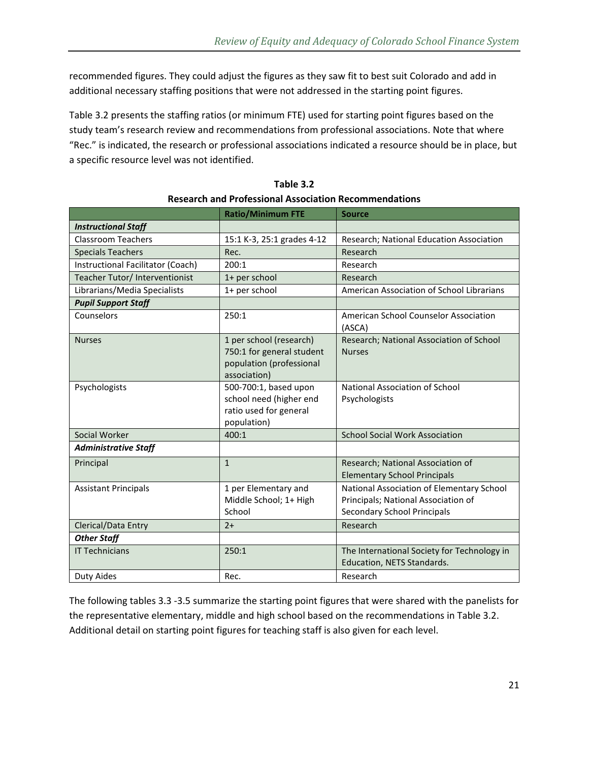recommended figures. They could adjust the figures as they saw fit to best suit Colorado and add in additional necessary staffing positions that were not addressed in the starting point figures.

Table 3.2 presents the staffing ratios (or minimum FTE) used for starting point figures based on the study team's research review and recommendations from professional associations. Note that where "Rec." is indicated, the research or professional associations indicated a resource should be in place, but a specific resource level was not identified.

|                                   | <b>Ratio/Minimum FTE</b>                                                                         | <b>Source</b>                                                                                                   |
|-----------------------------------|--------------------------------------------------------------------------------------------------|-----------------------------------------------------------------------------------------------------------------|
| <b>Instructional Staff</b>        |                                                                                                  |                                                                                                                 |
| <b>Classroom Teachers</b>         | 15:1 K-3, 25:1 grades 4-12                                                                       | Research; National Education Association                                                                        |
| <b>Specials Teachers</b>          | Rec.                                                                                             | Research                                                                                                        |
| Instructional Facilitator (Coach) | 200:1                                                                                            | Research                                                                                                        |
| Teacher Tutor/ Interventionist    | 1+ per school                                                                                    | Research                                                                                                        |
| Librarians/Media Specialists      | 1+ per school                                                                                    | American Association of School Librarians                                                                       |
| <b>Pupil Support Staff</b>        |                                                                                                  |                                                                                                                 |
| Counselors                        | 250:1                                                                                            | American School Counselor Association<br>(ASCA)                                                                 |
| <b>Nurses</b>                     | 1 per school (research)<br>750:1 for general student<br>population (professional<br>association) | Research; National Association of School<br><b>Nurses</b>                                                       |
| Psychologists                     | 500-700:1, based upon<br>school need (higher end<br>ratio used for general<br>population)        | National Association of School<br>Psychologists                                                                 |
| Social Worker                     | 400:1                                                                                            | <b>School Social Work Association</b>                                                                           |
| <b>Administrative Staff</b>       |                                                                                                  |                                                                                                                 |
| Principal                         | $\mathbf{1}$                                                                                     | Research; National Association of<br><b>Elementary School Principals</b>                                        |
| <b>Assistant Principals</b>       | 1 per Elementary and<br>Middle School; 1+ High<br>School                                         | National Association of Elementary School<br>Principals; National Association of<br>Secondary School Principals |
| Clerical/Data Entry               | $2+$                                                                                             | Research                                                                                                        |
| <b>Other Staff</b>                |                                                                                                  |                                                                                                                 |
| <b>IT Technicians</b>             | 250:1                                                                                            | The International Society for Technology in<br>Education, NETS Standards.                                       |
| Duty Aides                        | Rec.                                                                                             | Research                                                                                                        |

**Table 3.2 Research and Professional Association Recommendations** 

The following tables 3.3 -3.5 summarize the starting point figures that were shared with the panelists for the representative elementary, middle and high school based on the recommendations in Table 3.2. Additional detail on starting point figures for teaching staff is also given for each level.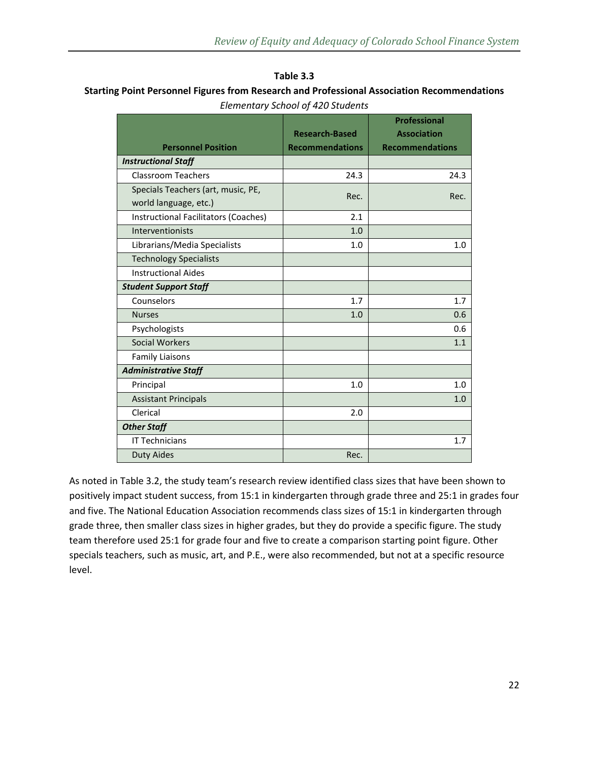#### **Table 3.3**

### **Starting Point Personnel Figures from Research and Professional Association Recommendations**  *Elementary School of 420 Students*

|                                             |                        | <b>Professional</b>    |
|---------------------------------------------|------------------------|------------------------|
|                                             | <b>Research-Based</b>  | <b>Association</b>     |
| <b>Personnel Position</b>                   | <b>Recommendations</b> | <b>Recommendations</b> |
| <b>Instructional Staff</b>                  |                        |                        |
| <b>Classroom Teachers</b>                   | 24.3                   | 24.3                   |
| Specials Teachers (art, music, PE,          | Rec.                   | Rec.                   |
| world language, etc.)                       |                        |                        |
| <b>Instructional Facilitators (Coaches)</b> | 2.1                    |                        |
| Interventionists                            | 1.0                    |                        |
| Librarians/Media Specialists                | 1.0                    | 1.0                    |
| <b>Technology Specialists</b>               |                        |                        |
| <b>Instructional Aides</b>                  |                        |                        |
| <b>Student Support Staff</b>                |                        |                        |
| Counselors                                  | 1.7                    | 1.7                    |
| <b>Nurses</b>                               | 1.0                    | 0.6                    |
| Psychologists                               |                        | 0.6                    |
| <b>Social Workers</b>                       |                        | 1.1                    |
| <b>Family Liaisons</b>                      |                        |                        |
| <b>Administrative Staff</b>                 |                        |                        |
| Principal                                   | 1.0                    | 1.0                    |
| <b>Assistant Principals</b>                 |                        | 1.0                    |
| Clerical                                    | 2.0                    |                        |
| <b>Other Staff</b>                          |                        |                        |
| <b>IT Technicians</b>                       |                        | 1.7                    |
| <b>Duty Aides</b>                           | Rec.                   |                        |

As noted in Table 3.2, the study team's research review identified class sizes that have been shown to positively impact student success, from 15:1 in kindergarten through grade three and 25:1 in grades four and five. The National Education Association recommends class sizes of 15:1 in kindergarten through grade three, then smaller class sizes in higher grades, but they do provide a specific figure. The study team therefore used 25:1 for grade four and five to create a comparison starting point figure. Other specials teachers, such as music, art, and P.E., were also recommended, but not at a specific resource level.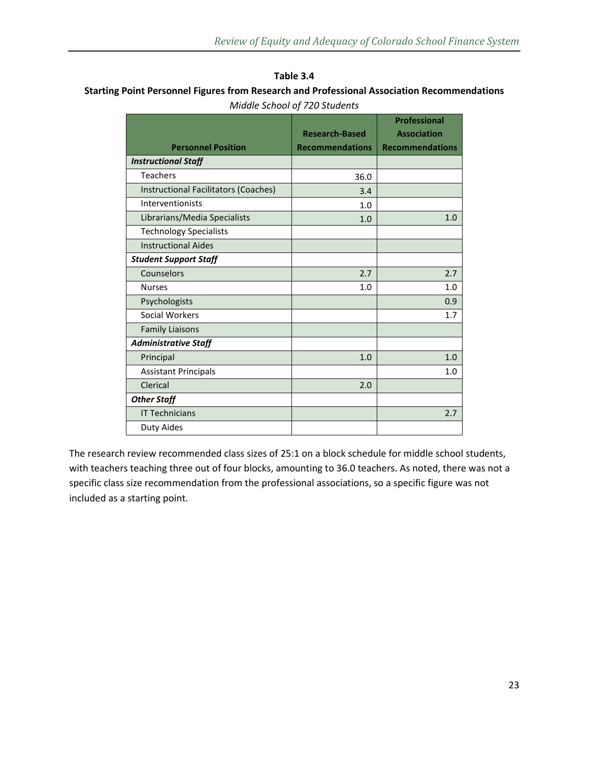#### **Table 3.4**

### **Starting Point Personnel Figures from Research and Professional Association Recommendations**  *Middle School of 720 Students*

|                                      |                        | <b>Professional</b>    |
|--------------------------------------|------------------------|------------------------|
|                                      | <b>Research-Based</b>  | <b>Association</b>     |
| <b>Personnel Position</b>            | <b>Recommendations</b> | <b>Recommendations</b> |
| <b>Instructional Staff</b>           |                        |                        |
| <b>Teachers</b>                      | 36.0                   |                        |
| Instructional Facilitators (Coaches) | 3.4                    |                        |
| Interventionists                     | 1.0                    |                        |
| Librarians/Media Specialists         | 1.0                    | 1.0                    |
| <b>Technology Specialists</b>        |                        |                        |
| <b>Instructional Aides</b>           |                        |                        |
| <b>Student Support Staff</b>         |                        |                        |
| Counselors                           | 2.7                    | 2.7                    |
| <b>Nurses</b>                        | 1.0                    | 1.0                    |
| Psychologists                        |                        | 0.9                    |
| Social Workers                       |                        | 1.7                    |
| <b>Family Liaisons</b>               |                        |                        |
| <b>Administrative Staff</b>          |                        |                        |
| Principal                            | 1.0                    | 1.0                    |
| <b>Assistant Principals</b>          |                        | 1.0                    |
| Clerical                             | 2.0                    |                        |
| <b>Other Staff</b>                   |                        |                        |
| <b>IT Technicians</b>                |                        | 2.7                    |
| <b>Duty Aides</b>                    |                        |                        |
|                                      |                        |                        |

The research review recommended class sizes of 25:1 on a block schedule for middle school students, with teachers teaching three out of four blocks, amounting to 36.0 teachers. As noted, there was not a specific class size recommendation from the professional associations, so a specific figure was not included as a starting point.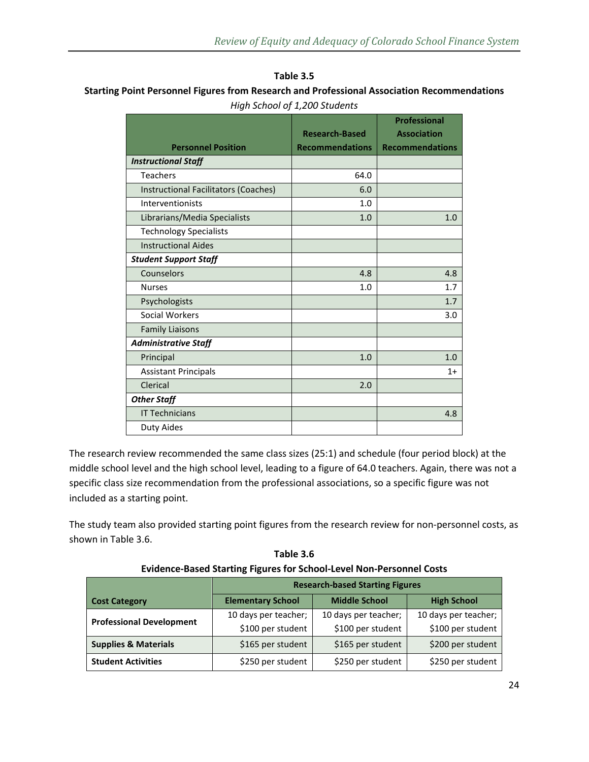#### **Table 3.5**

### **Starting Point Personnel Figures from Research and Professional Association Recommendations**  *High School of 1,200 Students*

|                                      |                        | Professional           |
|--------------------------------------|------------------------|------------------------|
|                                      | <b>Research-Based</b>  | <b>Association</b>     |
| <b>Personnel Position</b>            | <b>Recommendations</b> | <b>Recommendations</b> |
| <b>Instructional Staff</b>           |                        |                        |
| <b>Teachers</b>                      | 64.0                   |                        |
| Instructional Facilitators (Coaches) | 6.0                    |                        |
| Interventionists                     | 1.0                    |                        |
| Librarians/Media Specialists         | 1.0                    | 1.0                    |
| <b>Technology Specialists</b>        |                        |                        |
| <b>Instructional Aides</b>           |                        |                        |
| <b>Student Support Staff</b>         |                        |                        |
| Counselors                           | 4.8                    | 4.8                    |
| <b>Nurses</b>                        | 1.0                    | 1.7                    |
| Psychologists                        |                        | 1.7                    |
| Social Workers                       |                        | 3.0                    |
| <b>Family Liaisons</b>               |                        |                        |
| <b>Administrative Staff</b>          |                        |                        |
| Principal                            | 1.0                    | 1.0                    |
| <b>Assistant Principals</b>          |                        | $1+$                   |
| Clerical                             | 2.0                    |                        |
| <b>Other Staff</b>                   |                        |                        |
| <b>IT Technicians</b>                |                        | 4.8                    |
| Duty Aides                           |                        |                        |

The research review recommended the same class sizes (25:1) and schedule (four period block) at the middle school level and the high school level, leading to a figure of 64.0 teachers. Again, there was not a specific class size recommendation from the professional associations, so a specific figure was not included as a starting point.

The study team also provided starting point figures from the research review for non-personnel costs, as shown in Table 3.6.

| Table 3.6                                                                   |
|-----------------------------------------------------------------------------|
| <b>Evidence-Based Starting Figures for School-Level Non-Personnel Costs</b> |

|                                 | <b>Research-based Starting Figures</b> |                      |                      |
|---------------------------------|----------------------------------------|----------------------|----------------------|
| <b>Cost Category</b>            | <b>Elementary School</b>               | <b>Middle School</b> | <b>High School</b>   |
| <b>Professional Development</b> | 10 days per teacher;                   | 10 days per teacher; | 10 days per teacher; |
|                                 | \$100 per student                      | \$100 per student    | \$100 per student    |
| <b>Supplies &amp; Materials</b> | \$165 per student                      | \$165 per student    | \$200 per student    |
| <b>Student Activities</b>       | \$250 per student                      | \$250 per student    | \$250 per student    |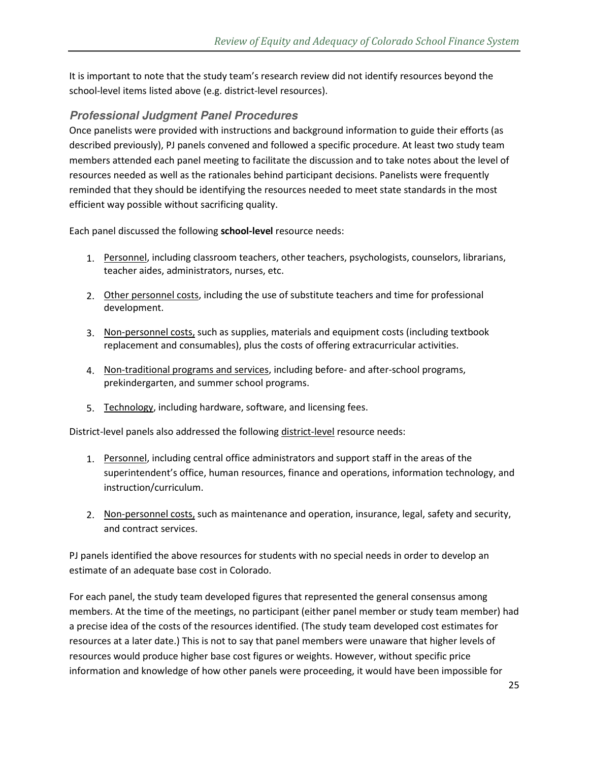It is important to note that the study team's research review did not identify resources beyond the school-level items listed above (e.g. district-level resources).

### **Professional Judgment Panel Procedures**

Once panelists were provided with instructions and background information to guide their efforts (as described previously), PJ panels convened and followed a specific procedure. At least two study team members attended each panel meeting to facilitate the discussion and to take notes about the level of resources needed as well as the rationales behind participant decisions. Panelists were frequently reminded that they should be identifying the resources needed to meet state standards in the most efficient way possible without sacrificing quality.

Each panel discussed the following **school-level** resource needs:

- 1. Personnel, including classroom teachers, other teachers, psychologists, counselors, librarians, teacher aides, administrators, nurses, etc.
- 2. Other personnel costs, including the use of substitute teachers and time for professional development.
- 3. Non-personnel costs, such as supplies, materials and equipment costs (including textbook replacement and consumables), plus the costs of offering extracurricular activities.
- 4. Non-traditional programs and services, including before- and after-school programs, prekindergarten, and summer school programs.
- 5. Technology, including hardware, software, and licensing fees.

District-level panels also addressed the following district-level resource needs:

- 1. Personnel, including central office administrators and support staff in the areas of the superintendent's office, human resources, finance and operations, information technology, and instruction/curriculum.
- 2. Non-personnel costs, such as maintenance and operation, insurance, legal, safety and security, and contract services.

PJ panels identified the above resources for students with no special needs in order to develop an estimate of an adequate base cost in Colorado.

For each panel, the study team developed figures that represented the general consensus among members. At the time of the meetings, no participant (either panel member or study team member) had a precise idea of the costs of the resources identified. (The study team developed cost estimates for resources at a later date.) This is not to say that panel members were unaware that higher levels of resources would produce higher base cost figures or weights. However, without specific price information and knowledge of how other panels were proceeding, it would have been impossible for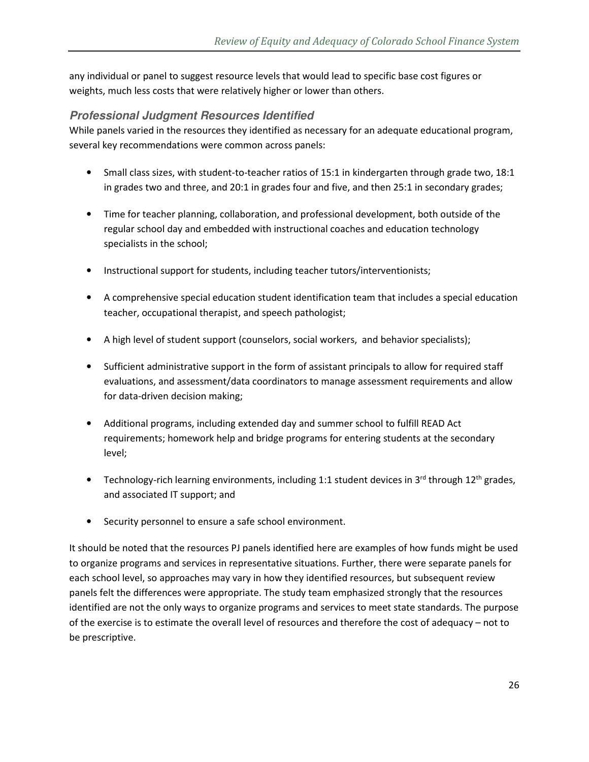any individual or panel to suggest resource levels that would lead to specific base cost figures or weights, much less costs that were relatively higher or lower than others.

### **Professional Judgment Resources Identified**

While panels varied in the resources they identified as necessary for an adequate educational program, several key recommendations were common across panels:

- Small class sizes, with student-to-teacher ratios of 15:1 in kindergarten through grade two, 18:1 in grades two and three, and 20:1 in grades four and five, and then 25:1 in secondary grades;
- Time for teacher planning, collaboration, and professional development, both outside of the regular school day and embedded with instructional coaches and education technology specialists in the school;
- Instructional support for students, including teacher tutors/interventionists;
- A comprehensive special education student identification team that includes a special education teacher, occupational therapist, and speech pathologist;
- A high level of student support (counselors, social workers, and behavior specialists);
- Sufficient administrative support in the form of assistant principals to allow for required staff evaluations, and assessment/data coordinators to manage assessment requirements and allow for data-driven decision making;
- Additional programs, including extended day and summer school to fulfill READ Act requirements; homework help and bridge programs for entering students at the secondary level;
- Technology-rich learning environments, including 1:1 student devices in 3<sup>rd</sup> through 12<sup>th</sup> grades, and associated IT support; and
- Security personnel to ensure a safe school environment.

It should be noted that the resources PJ panels identified here are examples of how funds might be used to organize programs and services in representative situations. Further, there were separate panels for each school level, so approaches may vary in how they identified resources, but subsequent review panels felt the differences were appropriate. The study team emphasized strongly that the resources identified are not the only ways to organize programs and services to meet state standards. The purpose of the exercise is to estimate the overall level of resources and therefore the cost of adequacy – not to be prescriptive.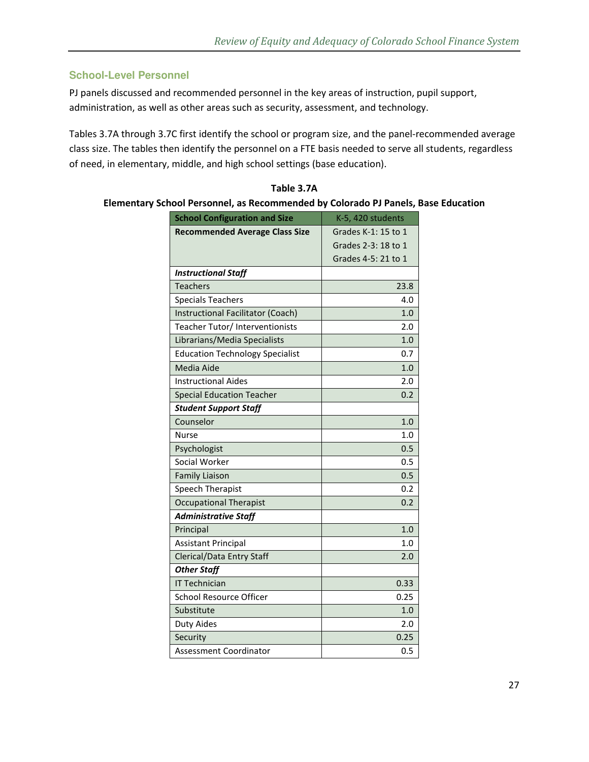### **School-Level Personnel**

PJ panels discussed and recommended personnel in the key areas of instruction, pupil support, administration, as well as other areas such as security, assessment, and technology.

Tables 3.7A through 3.7C first identify the school or program size, and the panel-recommended average class size. The tables then identify the personnel on a FTE basis needed to serve all students, regardless of need, in elementary, middle, and high school settings (base education).

| <b>School Configuration and Size</b>   | K-5, 420 students   |
|----------------------------------------|---------------------|
| <b>Recommended Average Class Size</b>  | Grades K-1: 15 to 1 |
|                                        | Grades 2-3: 18 to 1 |
|                                        | Grades 4-5: 21 to 1 |
| <b>Instructional Staff</b>             |                     |
| <b>Teachers</b>                        | 23.8                |
| <b>Specials Teachers</b>               | 4.0                 |
| Instructional Facilitator (Coach)      | 1.0                 |
| Teacher Tutor/ Interventionists        | 2.0                 |
| Librarians/Media Specialists           | 1.0                 |
| <b>Education Technology Specialist</b> | 0.7                 |
| Media Aide                             | 1.0                 |
| <b>Instructional Aides</b>             | 2.0                 |
| <b>Special Education Teacher</b>       | 0.2                 |
| <b>Student Support Staff</b>           |                     |
| Counselor                              | 1.0                 |
| Nurse                                  | 1.0                 |
| Psychologist                           | 0.5                 |
| Social Worker                          | 0.5                 |
| <b>Family Liaison</b>                  | 0.5                 |
| Speech Therapist                       | 0.2                 |
| <b>Occupational Therapist</b>          | 0.2                 |
| <b>Administrative Staff</b>            |                     |
| Principal                              | 1.0                 |
| <b>Assistant Principal</b>             | 1.0                 |
| <b>Clerical/Data Entry Staff</b>       | 2.0                 |
| <b>Other Staff</b>                     |                     |
| <b>IT Technician</b>                   | 0.33                |
| <b>School Resource Officer</b>         | 0.25                |
| Substitute                             | 1.0                 |
| Duty Aides                             | 2.0                 |
| Security                               | 0.25                |
| Assessment Coordinator                 | 0.5                 |

**Table 3.7A Elementary School Personnel, as Recommended by Colorado PJ Panels, Base Education**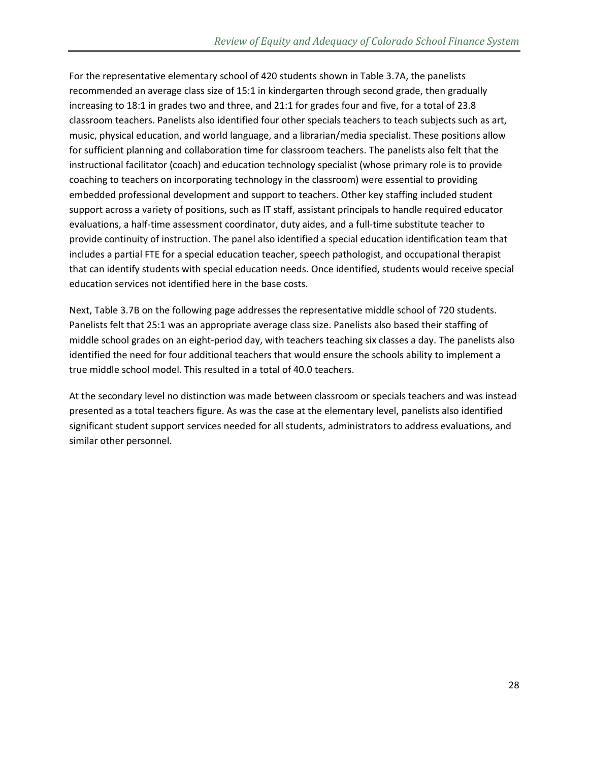For the representative elementary school of 420 students shown in Table 3.7A, the panelists recommended an average class size of 15:1 in kindergarten through second grade, then gradually increasing to 18:1 in grades two and three, and 21:1 for grades four and five, for a total of 23.8 classroom teachers. Panelists also identified four other specials teachers to teach subjects such as art, music, physical education, and world language, and a librarian/media specialist. These positions allow for sufficient planning and collaboration time for classroom teachers. The panelists also felt that the instructional facilitator (coach) and education technology specialist (whose primary role is to provide coaching to teachers on incorporating technology in the classroom) were essential to providing embedded professional development and support to teachers. Other key staffing included student support across a variety of positions, such as IT staff, assistant principals to handle required educator evaluations, a half-time assessment coordinator, duty aides, and a full-time substitute teacher to provide continuity of instruction. The panel also identified a special education identification team that includes a partial FTE for a special education teacher, speech pathologist, and occupational therapist that can identify students with special education needs. Once identified, students would receive special education services not identified here in the base costs.

Next, Table 3.7B on the following page addresses the representative middle school of 720 students. Panelists felt that 25:1 was an appropriate average class size. Panelists also based their staffing of middle school grades on an eight-period day, with teachers teaching six classes a day. The panelists also identified the need for four additional teachers that would ensure the schools ability to implement a true middle school model. This resulted in a total of 40.0 teachers.

At the secondary level no distinction was made between classroom or specials teachers and was instead presented as a total teachers figure. As was the case at the elementary level, panelists also identified significant student support services needed for all students, administrators to address evaluations, and similar other personnel.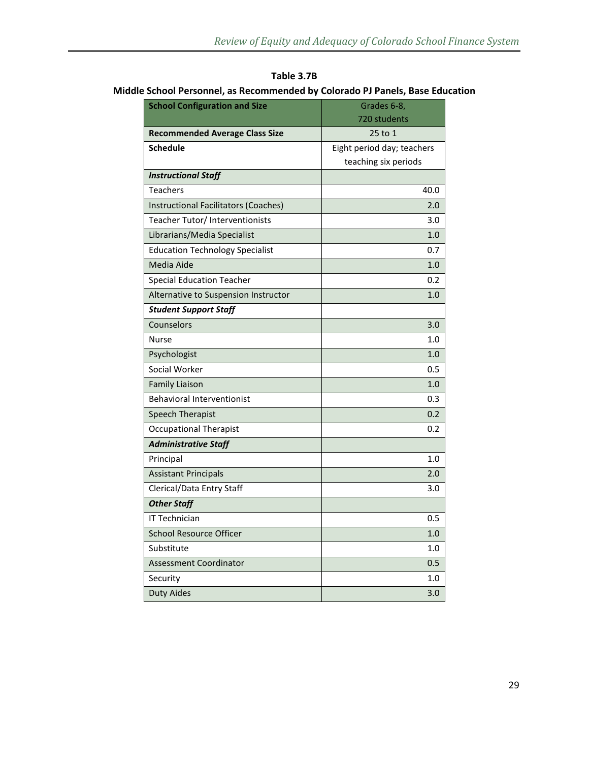| Middle School Personnel, as Recommended by Colorado PJ Panels, Base Education |                                        |                            |  |
|-------------------------------------------------------------------------------|----------------------------------------|----------------------------|--|
| <b>School Configuration and Size</b>                                          |                                        | Grades 6-8,                |  |
|                                                                               |                                        | 720 students               |  |
|                                                                               | <b>Recommended Average Class Size</b>  | $25$ to 1                  |  |
|                                                                               | <b>Schedule</b>                        | Eight period day; teachers |  |
|                                                                               |                                        | teaching six periods       |  |
|                                                                               | <b>Instructional Staff</b>             |                            |  |
|                                                                               | Teachers                               | 40.0                       |  |
|                                                                               | Instructional Facilitators (Coaches)   | 2.0                        |  |
|                                                                               | Teacher Tutor/Interventionists         | 3.0                        |  |
|                                                                               | Librarians/Media Specialist            | 1.0                        |  |
|                                                                               | <b>Education Technology Specialist</b> | 0.7                        |  |
|                                                                               | Media Aide                             | 1.0                        |  |
|                                                                               | Special Education Teacher              | 0.2                        |  |

**Table 3.7B** 

| Alternative to Suspension Instructor | 1.0 |
|--------------------------------------|-----|
| <b>Student Support Staff</b>         |     |
| Counselors                           | 3.0 |
| <b>Nurse</b>                         | 1.0 |
| Psychologist                         | 1.0 |
| Social Worker                        | 0.5 |
| <b>Family Liaison</b>                | 1.0 |
| <b>Behavioral Interventionist</b>    | 0.3 |
| <b>Speech Therapist</b>              | 0.2 |
| <b>Occupational Therapist</b>        | 0.2 |
| <b>Administrative Staff</b>          |     |
| Principal                            | 1.0 |
| <b>Assistant Principals</b>          | 2.0 |
| Clerical/Data Entry Staff            | 3.0 |
| <b>Other Staff</b>                   |     |
| <b>IT Technician</b>                 | 0.5 |
| School Resource Officer              | 1.0 |
| Substitute                           | 1.0 |
| Assessment Coordinator               | 0.5 |
| Security                             | 1.0 |

Duty Aides 3.0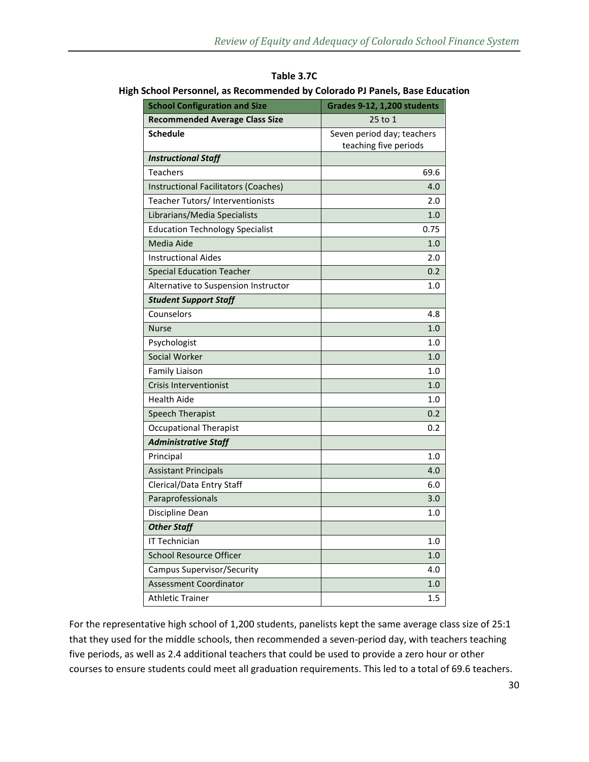| <b>School Configuration and Size</b>   | Grades 9-12, 1,200 students |
|----------------------------------------|-----------------------------|
| <b>Recommended Average Class Size</b>  | 25 to 1                     |
| <b>Schedule</b>                        | Seven period day; teachers  |
|                                        | teaching five periods       |
| <b>Instructional Staff</b>             |                             |
| <b>Teachers</b>                        | 69.6                        |
| Instructional Facilitators (Coaches)   | 4.0                         |
| Teacher Tutors/ Interventionists       | 2.0                         |
| Librarians/Media Specialists           | 1.0                         |
| <b>Education Technology Specialist</b> | 0.75                        |
| Media Aide                             | 1.0                         |
| <b>Instructional Aides</b>             | 2.0                         |
| <b>Special Education Teacher</b>       | 0.2                         |
| Alternative to Suspension Instructor   | 1.0                         |
| <b>Student Support Staff</b>           |                             |
| Counselors                             | 4.8                         |
| <b>Nurse</b>                           | 1.0                         |
| Psychologist                           | 1.0                         |
| Social Worker                          | 1.0                         |
| Family Liaison                         | 1.0                         |
| <b>Crisis Interventionist</b>          | 1.0                         |
| <b>Health Aide</b>                     | 1.0                         |
| Speech Therapist                       | 0.2                         |
| <b>Occupational Therapist</b>          | 0.2                         |
| <b>Administrative Staff</b>            |                             |
| Principal                              | 1.0                         |
| <b>Assistant Principals</b>            | 4.0                         |
| Clerical/Data Entry Staff              | 6.0                         |
| Paraprofessionals                      | 3.0                         |
| Discipline Dean                        | 1.0                         |
| <b>Other Staff</b>                     |                             |
| IT Technician                          | 1.0                         |
| <b>School Resource Officer</b>         | 1.0                         |
| Campus Supervisor/Security             | 4.0                         |
| <b>Assessment Coordinator</b>          | 1.0                         |
| <b>Athletic Trainer</b>                | 1.5                         |

**Table 3.7C High School Personnel, as Recommended by Colorado PJ Panels, Base Education** 

For the representative high school of 1,200 students, panelists kept the same average class size of 25:1 that they used for the middle schools, then recommended a seven-period day, with teachers teaching five periods, as well as 2.4 additional teachers that could be used to provide a zero hour or other courses to ensure students could meet all graduation requirements. This led to a total of 69.6 teachers.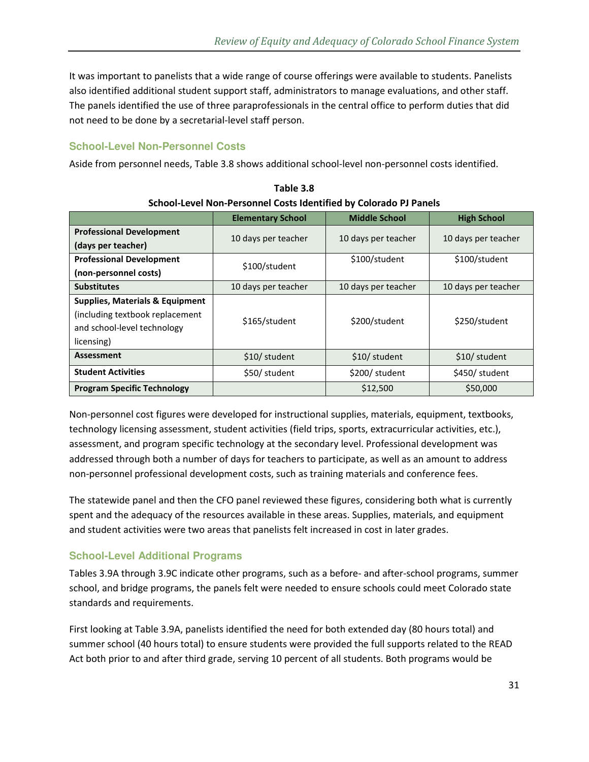It was important to panelists that a wide range of course offerings were available to students. Panelists also identified additional student support staff, administrators to manage evaluations, and other staff. The panels identified the use of three paraprofessionals in the central office to perform duties that did not need to be done by a secretarial-level staff person.

### **School-Level Non-Personnel Costs**

Aside from personnel needs, Table 3.8 shows additional school-level non-personnel costs identified.

|                                            | <b>Elementary School</b> | <b>Middle School</b> | <b>High School</b>  |
|--------------------------------------------|--------------------------|----------------------|---------------------|
| <b>Professional Development</b>            |                          |                      |                     |
| (days per teacher)                         | 10 days per teacher      | 10 days per teacher  | 10 days per teacher |
| <b>Professional Development</b>            | \$100/student            | \$100/student        | \$100/student       |
| (non-personnel costs)                      |                          |                      |                     |
| <b>Substitutes</b>                         | 10 days per teacher      | 10 days per teacher  | 10 days per teacher |
| <b>Supplies, Materials &amp; Equipment</b> |                          |                      |                     |
| (including textbook replacement)           | \$165/student            | \$200/student        | \$250/student       |
| and school-level technology                |                          |                      |                     |
| licensing)                                 |                          |                      |                     |
| <b>Assessment</b>                          | \$10/ student            | \$10/ student        | \$10/ student       |
| <b>Student Activities</b>                  | \$50/ student            | \$200/ student       | \$450/ student      |
| <b>Program Specific Technology</b>         |                          | \$12,500             | \$50,000            |

**Table 3.8 School-Level Non-Personnel Costs Identified by Colorado PJ Panels** 

Non-personnel cost figures were developed for instructional supplies, materials, equipment, textbooks, technology licensing assessment, student activities (field trips, sports, extracurricular activities, etc.), assessment, and program specific technology at the secondary level. Professional development was addressed through both a number of days for teachers to participate, as well as an amount to address non-personnel professional development costs, such as training materials and conference fees.

The statewide panel and then the CFO panel reviewed these figures, considering both what is currently spent and the adequacy of the resources available in these areas. Supplies, materials, and equipment and student activities were two areas that panelists felt increased in cost in later grades.

### **School-Level Additional Programs**

Tables 3.9A through 3.9C indicate other programs, such as a before- and after-school programs, summer school, and bridge programs, the panels felt were needed to ensure schools could meet Colorado state standards and requirements.

First looking at Table 3.9A, panelists identified the need for both extended day (80 hours total) and summer school (40 hours total) to ensure students were provided the full supports related to the READ Act both prior to and after third grade, serving 10 percent of all students. Both programs would be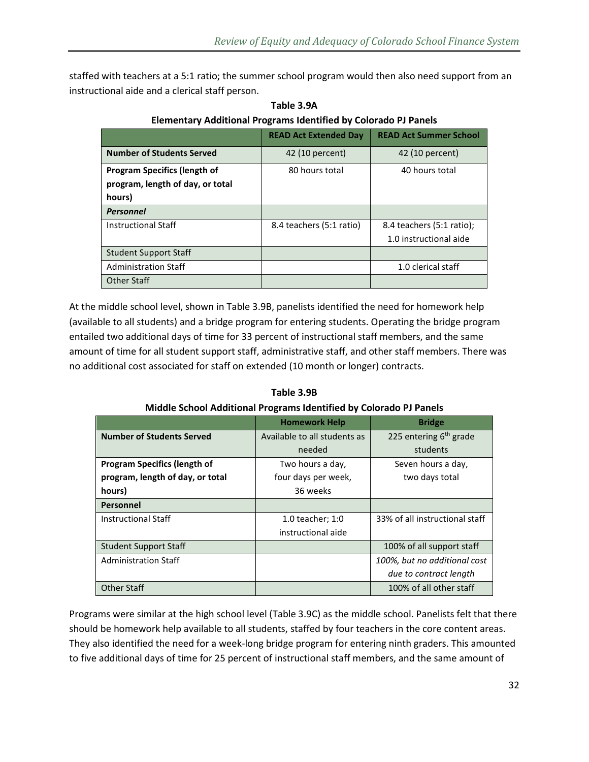staffed with teachers at a 5:1 ratio; the summer school program would then also need support from an instructional aide and a clerical staff person.

|                                     | <b>READ Act Extended Day</b> | <b>READ Act Summer School</b> |
|-------------------------------------|------------------------------|-------------------------------|
| <b>Number of Students Served</b>    | 42 (10 percent)              | 42 (10 percent)               |
| <b>Program Specifics (length of</b> | 80 hours total               | 40 hours total                |
| program, length of day, or total    |                              |                               |
| hours)                              |                              |                               |
| <b>Personnel</b>                    |                              |                               |
| <b>Instructional Staff</b>          | 8.4 teachers (5:1 ratio)     | 8.4 teachers (5:1 ratio);     |
|                                     |                              | 1.0 instructional aide        |
| <b>Student Support Staff</b>        |                              |                               |
| <b>Administration Staff</b>         |                              | 1.0 clerical staff            |
| Other Staff                         |                              |                               |

**Table 3.9A Elementary Additional Programs Identified by Colorado PJ Panels** 

At the middle school level, shown in Table 3.9B, panelists identified the need for homework help (available to all students) and a bridge program for entering students. Operating the bridge program entailed two additional days of time for 33 percent of instructional staff members, and the same amount of time for all student support staff, administrative staff, and other staff members. There was no additional cost associated for staff on extended (10 month or longer) contracts.

|                                     | <b>Homework Help</b>         | <b>Bridge</b>                  |
|-------------------------------------|------------------------------|--------------------------------|
| <b>Number of Students Served</b>    | Available to all students as | 225 entering $6th$ grade       |
|                                     | needed                       | students                       |
| <b>Program Specifics (length of</b> | Two hours a day,             | Seven hours a day,             |
| program, length of day, or total    | four days per week,          | two days total                 |
| hours)                              | 36 weeks                     |                                |
| Personnel                           |                              |                                |
| <b>Instructional Staff</b>          | 1.0 teacher; 1:0             | 33% of all instructional staff |
|                                     | instructional aide           |                                |
| <b>Student Support Staff</b>        |                              | 100% of all support staff      |
| <b>Administration Staff</b>         |                              | 100%, but no additional cost   |
|                                     |                              | due to contract length         |
| <b>Other Staff</b>                  |                              | 100% of all other staff        |

**Table 3.9B Middle School Additional Programs Identified by Colorado PJ Panels** 

Programs were similar at the high school level (Table 3.9C) as the middle school. Panelists felt that there should be homework help available to all students, staffed by four teachers in the core content areas. They also identified the need for a week-long bridge program for entering ninth graders. This amounted to five additional days of time for 25 percent of instructional staff members, and the same amount of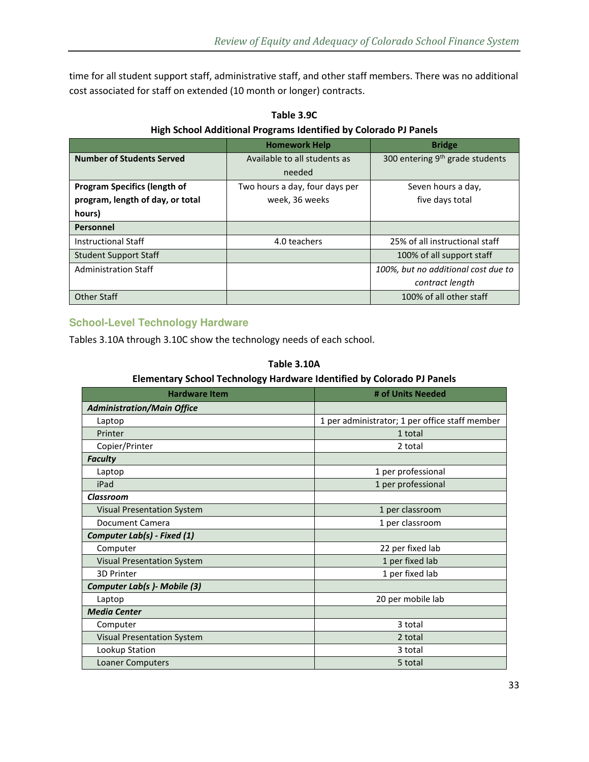time for all student support staff, administrative staff, and other staff members. There was no additional cost associated for staff on extended (10 month or longer) contracts.

|                                     | <b>Homework Help</b>           | <b>Bridge</b>                               |
|-------------------------------------|--------------------------------|---------------------------------------------|
| <b>Number of Students Served</b>    | Available to all students as   | 300 entering 9 <sup>th</sup> grade students |
|                                     | needed                         |                                             |
| <b>Program Specifics (length of</b> | Two hours a day, four days per | Seven hours a day,                          |
| program, length of day, or total    | week, 36 weeks                 | five days total                             |
| hours)                              |                                |                                             |
| Personnel                           |                                |                                             |
| <b>Instructional Staff</b>          | 4.0 teachers                   | 25% of all instructional staff              |
| <b>Student Support Staff</b>        |                                | 100% of all support staff                   |
| <b>Administration Staff</b>         |                                | 100%, but no additional cost due to         |
|                                     |                                | contract length                             |
| <b>Other Staff</b>                  |                                | 100% of all other staff                     |

**Table 3.9C High School Additional Programs Identified by Colorado PJ Panels** 

#### **School-Level Technology Hardware**

Tables 3.10A through 3.10C show the technology needs of each school.

| Elementary School Technology Hardware Identified by Colorado PJ Panels |                                                |  |  |
|------------------------------------------------------------------------|------------------------------------------------|--|--|
| <b>Hardware Item</b>                                                   | # of Units Needed                              |  |  |
| <b>Administration/Main Office</b>                                      |                                                |  |  |
| Laptop                                                                 | 1 per administrator; 1 per office staff member |  |  |
| Printer                                                                | 1 total                                        |  |  |
| Copier/Printer                                                         | 2 total                                        |  |  |
| <b>Faculty</b>                                                         |                                                |  |  |
| Laptop                                                                 | 1 per professional                             |  |  |
| iPad                                                                   | 1 per professional                             |  |  |
| <b>Classroom</b>                                                       |                                                |  |  |
| <b>Visual Presentation System</b>                                      | 1 per classroom                                |  |  |
| Document Camera                                                        | 1 per classroom                                |  |  |
| Computer Lab(s) - Fixed (1)                                            |                                                |  |  |
| Computer                                                               | 22 per fixed lab                               |  |  |
| <b>Visual Presentation System</b>                                      | 1 per fixed lab                                |  |  |
| <b>3D Printer</b>                                                      | 1 per fixed lab                                |  |  |
| Computer Lab(s) - Mobile (3)                                           |                                                |  |  |
| Laptop                                                                 | 20 per mobile lab                              |  |  |
| <b>Media Center</b>                                                    |                                                |  |  |
| Computer                                                               | 3 total                                        |  |  |
| <b>Visual Presentation System</b>                                      | 2 total                                        |  |  |
| Lookup Station                                                         | 3 total                                        |  |  |
| Loaner Computers                                                       | 5 total                                        |  |  |
|                                                                        |                                                |  |  |

**Table 3.10A** 

#### **Elementary School Technology Hardware Identified by Colorado PJ Panels**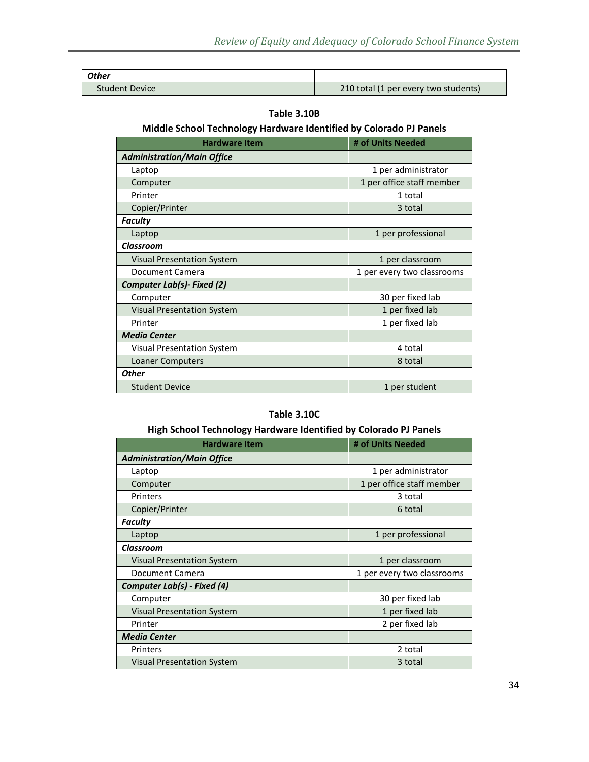| <b>Other</b>          |                                      |
|-----------------------|--------------------------------------|
| <b>Student Device</b> | 210 total (1 per every two students) |

#### **Table 3.10B**

### **Middle School Technology Hardware Identified by Colorado PJ Panels**

| <b>Hardware Item</b>              | # of Units Needed          |
|-----------------------------------|----------------------------|
| <b>Administration/Main Office</b> |                            |
| Laptop                            | 1 per administrator        |
| Computer                          | 1 per office staff member  |
| Printer                           | 1 total                    |
| Copier/Printer                    | 3 total                    |
| <b>Faculty</b>                    |                            |
| Laptop                            | 1 per professional         |
| <b>Classroom</b>                  |                            |
| <b>Visual Presentation System</b> | 1 per classroom            |
| Document Camera                   | 1 per every two classrooms |
| Computer Lab(s)- Fixed (2)        |                            |
| Computer                          | 30 per fixed lab           |
| <b>Visual Presentation System</b> | 1 per fixed lab            |
| Printer                           | 1 per fixed lab            |
| <b>Media Center</b>               |                            |
| Visual Presentation System        | 4 total                    |
| <b>Loaner Computers</b>           | 8 total                    |
| <b>Other</b>                      |                            |
| <b>Student Device</b>             | 1 per student              |

#### **Table 3.10C**

### **High School Technology Hardware Identified by Colorado PJ Panels**

| <b>Hardware Item</b>                         | # of Units Needed          |
|----------------------------------------------|----------------------------|
| <b>Administration/Main Office</b>            |                            |
| Laptop                                       | 1 per administrator        |
| Computer                                     | 1 per office staff member  |
| Printers                                     | 3 total                    |
| Copier/Printer                               | 6 total                    |
| Faculty                                      |                            |
| Laptop                                       | 1 per professional         |
| Classroom                                    |                            |
| <b>Visual Presentation System</b>            | 1 per classroom            |
| Document Camera                              | 1 per every two classrooms |
| Computer Lab(s) - Fixed (4)                  |                            |
| Computer                                     | 30 per fixed lab           |
| <b>Visual Presentation System</b>            | 1 per fixed lab            |
| Printer                                      | 2 per fixed lab            |
| <b>Media Center</b>                          |                            |
| Printers                                     | 2 total                    |
| <b>Visual Presentation System</b><br>3 total |                            |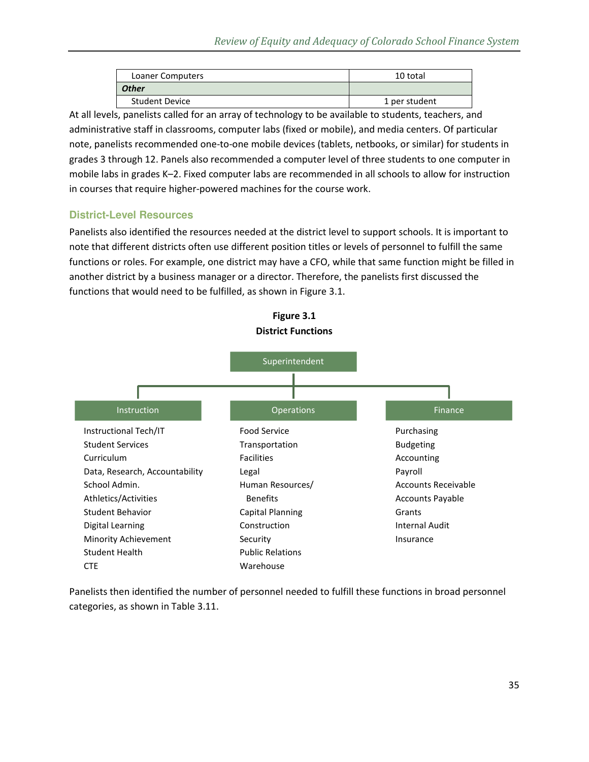| Loaner Computers      | 10 total      |
|-----------------------|---------------|
| <b>Other</b>          |               |
| <b>Student Device</b> | 1 per student |

At all levels, panelists called for an array of technology to be available to students, teachers, and administrative staff in classrooms, computer labs (fixed or mobile), and media centers. Of particular note, panelists recommended one-to-one mobile devices (tablets, netbooks, or similar) for students in grades 3 through 12. Panels also recommended a computer level of three students to one computer in mobile labs in grades K–2. Fixed computer labs are recommended in all schools to allow for instruction in courses that require higher-powered machines for the course work.

### **District-Level Resources**

Panelists also identified the resources needed at the district level to support schools. It is important to note that different districts often use different position titles or levels of personnel to fulfill the same functions or roles. For example, one district may have a CFO, while that same function might be filled in another district by a business manager or a director. Therefore, the panelists first discussed the functions that would need to be fulfilled, as shown in Figure 3.1.



**Figure 3.1** 

Panelists then identified the number of personnel needed to fulfill these functions in broad personnel categories, as shown in Table 3.11.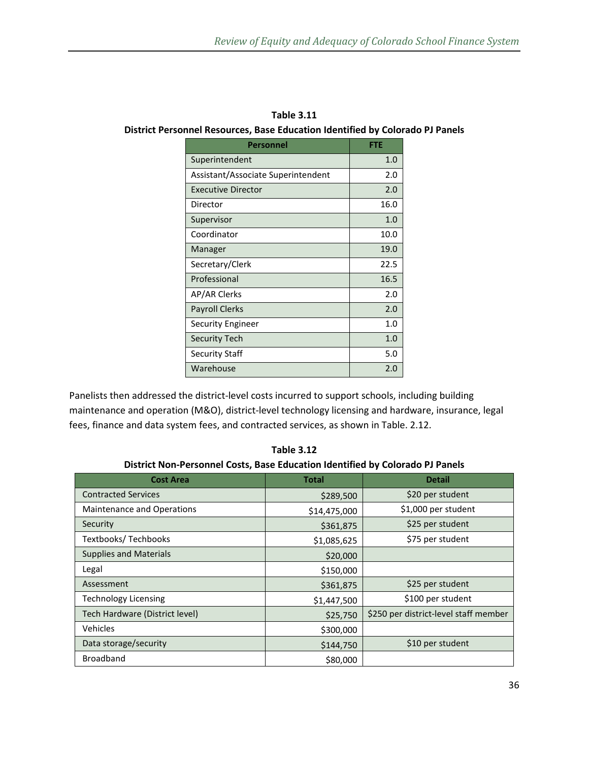| Personnel                          | <b>FTE</b> |
|------------------------------------|------------|
| Superintendent                     | 1.0        |
| Assistant/Associate Superintendent | 2.0        |
| <b>Executive Director</b>          | 2.0        |
| Director                           | 16.0       |
| Supervisor                         | 1.0        |
| Coordinator                        | 10.0       |
| Manager                            | 19.0       |
| Secretary/Clerk                    | 22.5       |
| Professional                       | 16.5       |
| AP/AR Clerks                       | 2.0        |
| <b>Payroll Clerks</b>              | 2.0        |
| Security Engineer                  | 1.0        |
| <b>Security Tech</b>               | 1.0        |
| Security Staff                     | 5.0        |
| Warehouse                          | 2.0        |

**Table 3.11 District Personnel Resources, Base Education Identified by Colorado PJ Panels** 

Panelists then addressed the district-level costs incurred to support schools, including building maintenance and operation (M&O), district-level technology licensing and hardware, insurance, legal fees, finance and data system fees, and contracted services, as shown in Table. 2.12.

**Cost Area Cost Area Network Cost Area Detail 2016** Contracted Services **1990 and 1991** the set of the set of the set of the set of the set of the set of the set of the set of the set of the set of the set of the set of the set of the set of the set of the set of the set of Maintenance and Operations <br>  $\begin{array}{ccc} \hline \end{array}$  \$14,475,000  $\begin{array}{ccc} \hline \end{array}$  \$1,000 per student Security \$361,875 \$25 per student Textbooks/ Techbooks  $\begin{array}{ccc} 51,085,625 \end{array}$  \$75 per student Supplies and Materials  $\vert$  \$20,000 Legal  $\left| \right|$  \$150,000 Assessment **Assessment 1996 Assessment 1996 25** per student Technology Licensing  $\begin{array}{ccc} \text{7.1,447,500} & \text{5.1,447,500} \end{array}$ Tech Hardware (District level)  $\frac{1}{25}$   $\frac{1}{25}$   $\frac{1}{25}$   $\frac{1}{250}$   $\frac{1}{250}$  per district-level staff member Vehicles  $\begin{array}{ccc} \text{V} & \text{S300,000} \\ \text{S300,000} & \text{S300,000} \end{array}$  Data storage/security \$144,750 \$10 per student Broadband \$80,000

**Table 3.12 District Non-Personnel Costs, Base Education Identified by Colorado PJ Panels**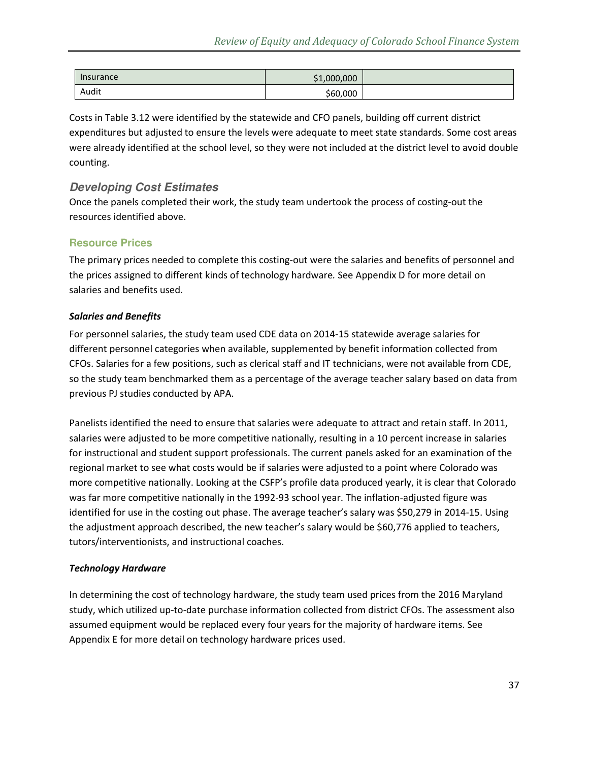| Insurance | \$1,000,000 |  |
|-----------|-------------|--|
| Audit     | \$60,000    |  |

Costs in Table 3.12 were identified by the statewide and CFO panels, building off current district expenditures but adjusted to ensure the levels were adequate to meet state standards. Some cost areas were already identified at the school level, so they were not included at the district level to avoid double counting.

### **Developing Cost Estimates**

Once the panels completed their work, the study team undertook the process of costing-out the resources identified above.

#### **Resource Prices**

The primary prices needed to complete this costing-out were the salaries and benefits of personnel and the prices assigned to different kinds of technology hardware*.* See Appendix D for more detail on salaries and benefits used.

#### *Salaries and Benefits*

For personnel salaries, the study team used CDE data on 2014-15 statewide average salaries for different personnel categories when available, supplemented by benefit information collected from CFOs. Salaries for a few positions, such as clerical staff and IT technicians, were not available from CDE, so the study team benchmarked them as a percentage of the average teacher salary based on data from previous PJ studies conducted by APA.

Panelists identified the need to ensure that salaries were adequate to attract and retain staff. In 2011, salaries were adjusted to be more competitive nationally, resulting in a 10 percent increase in salaries for instructional and student support professionals. The current panels asked for an examination of the regional market to see what costs would be if salaries were adjusted to a point where Colorado was more competitive nationally. Looking at the CSFP's profile data produced yearly, it is clear that Colorado was far more competitive nationally in the 1992-93 school year. The inflation-adjusted figure was identified for use in the costing out phase. The average teacher's salary was \$50,279 in 2014-15. Using the adjustment approach described, the new teacher's salary would be \$60,776 applied to teachers, tutors/interventionists, and instructional coaches.

#### *Technology Hardware*

In determining the cost of technology hardware, the study team used prices from the 2016 Maryland study, which utilized up-to-date purchase information collected from district CFOs. The assessment also assumed equipment would be replaced every four years for the majority of hardware items. See Appendix E for more detail on technology hardware prices used.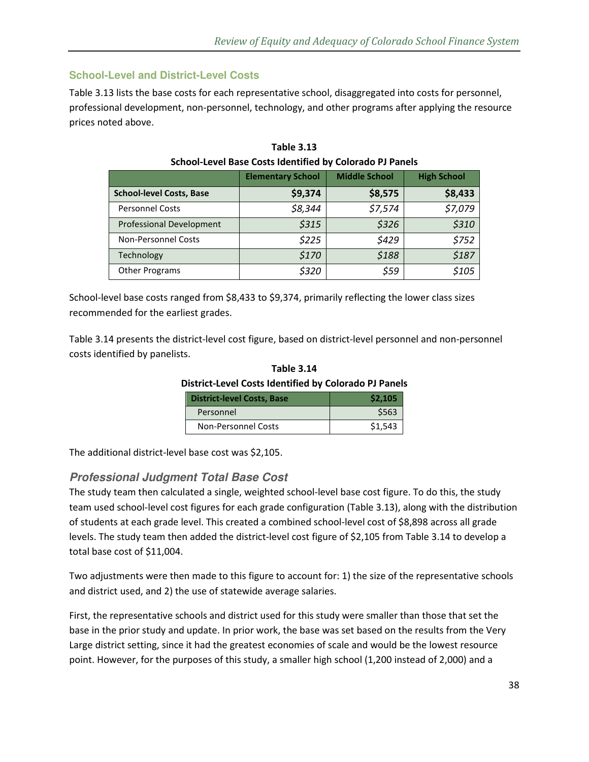### **School-Level and District-Level Costs**

Table 3.13 lists the base costs for each representative school, disaggregated into costs for personnel, professional development, non-personnel, technology, and other programs after applying the resource prices noted above.

|                                 | <b>Elementary School</b> | <b>Middle School</b> | <b>High School</b> |
|---------------------------------|--------------------------|----------------------|--------------------|
| <b>School-level Costs, Base</b> | \$9,374                  | \$8,575              | \$8,433            |
| <b>Personnel Costs</b>          | \$8,344                  | \$7,574              | \$7,079            |
| Professional Development        | \$315                    | \$326                | \$310              |
| <b>Non-Personnel Costs</b>      | \$225                    | \$429                | \$752              |
| Technology                      | \$170                    | \$188                | \$187              |
| <b>Other Programs</b>           | \$320                    | \$59                 | \$105              |

| <b>Table 3.13</b>                                               |
|-----------------------------------------------------------------|
| <b>School-Level Base Costs Identified by Colorado PJ Panels</b> |

School-level base costs ranged from \$8,433 to \$9,374, primarily reflecting the lower class sizes recommended for the earliest grades.

Table 3.14 presents the district-level cost figure, based on district-level personnel and non-personnel costs identified by panelists.

| .                                                            |         |  |  |
|--------------------------------------------------------------|---------|--|--|
| <b>District-Level Costs Identified by Colorado PJ Panels</b> |         |  |  |
| <b>District-level Costs, Base</b>                            | \$2,105 |  |  |

**Table 3.14** 

| District-level Costs, Base | 32.IU5  |
|----------------------------|---------|
| Personnel                  | \$563   |
| <b>Non-Personnel Costs</b> | \$1,543 |

The additional district-level base cost was \$2,105.

#### **Professional Judgment Total Base Cost**

The study team then calculated a single, weighted school-level base cost figure. To do this, the study team used school-level cost figures for each grade configuration (Table 3.13), along with the distribution of students at each grade level. This created a combined school-level cost of \$8,898 across all grade levels. The study team then added the district-level cost figure of \$2,105 from Table 3.14 to develop a total base cost of \$11,004.

Two adjustments were then made to this figure to account for: 1) the size of the representative schools and district used, and 2) the use of statewide average salaries.

First, the representative schools and district used for this study were smaller than those that set the base in the prior study and update. In prior work, the base was set based on the results from the Very Large district setting, since it had the greatest economies of scale and would be the lowest resource point. However, for the purposes of this study, a smaller high school (1,200 instead of 2,000) and a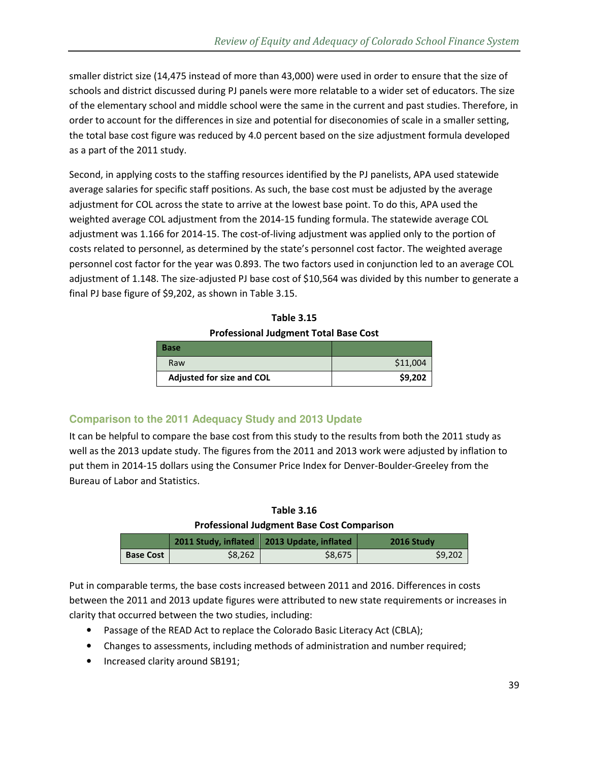smaller district size (14,475 instead of more than 43,000) were used in order to ensure that the size of schools and district discussed during PJ panels were more relatable to a wider set of educators. The size of the elementary school and middle school were the same in the current and past studies. Therefore, in order to account for the differences in size and potential for diseconomies of scale in a smaller setting, the total base cost figure was reduced by 4.0 percent based on the size adjustment formula developed as a part of the 2011 study.

Second, in applying costs to the staffing resources identified by the PJ panelists, APA used statewide average salaries for specific staff positions. As such, the base cost must be adjusted by the average adjustment for COL across the state to arrive at the lowest base point. To do this, APA used the weighted average COL adjustment from the 2014-15 funding formula. The statewide average COL adjustment was 1.166 for 2014-15. The cost-of-living adjustment was applied only to the portion of costs related to personnel, as determined by the state's personnel cost factor. The weighted average personnel cost factor for the year was 0.893. The two factors used in conjunction led to an average COL adjustment of 1.148. The size-adjusted PJ base cost of \$10,564 was divided by this number to generate a final PJ base figure of \$9,202, as shown in Table 3.15.

| <b>Table 3.15</b>                            |
|----------------------------------------------|
| <b>Professional Judgment Total Base Cost</b> |

| <b>Base</b>               |          |
|---------------------------|----------|
| Raw                       | \$11,004 |
| Adjusted for size and COL | \$9,202  |

### **Comparison to the 2011 Adequacy Study and 2013 Update**

It can be helpful to compare the base cost from this study to the results from both the 2011 study as well as the 2013 update study. The figures from the 2011 and 2013 work were adjusted by inflation to put them in 2014-15 dollars using the Consumer Price Index for Denver-Boulder-Greeley from the Bureau of Labor and Statistics.

#### **Table 3.16**

#### **Professional Judgment Base Cost Comparison**

|                  |         | 2011 Study, inflated   2013 Update, inflated | 2016 Study |
|------------------|---------|----------------------------------------------|------------|
| <b>Base Cost</b> | \$8.262 | \$8.675                                      | \$9.202    |

Put in comparable terms, the base costs increased between 2011 and 2016. Differences in costs between the 2011 and 2013 update figures were attributed to new state requirements or increases in clarity that occurred between the two studies, including:

- Passage of the READ Act to replace the Colorado Basic Literacy Act (CBLA);
- Changes to assessments, including methods of administration and number required;
- Increased clarity around SB191;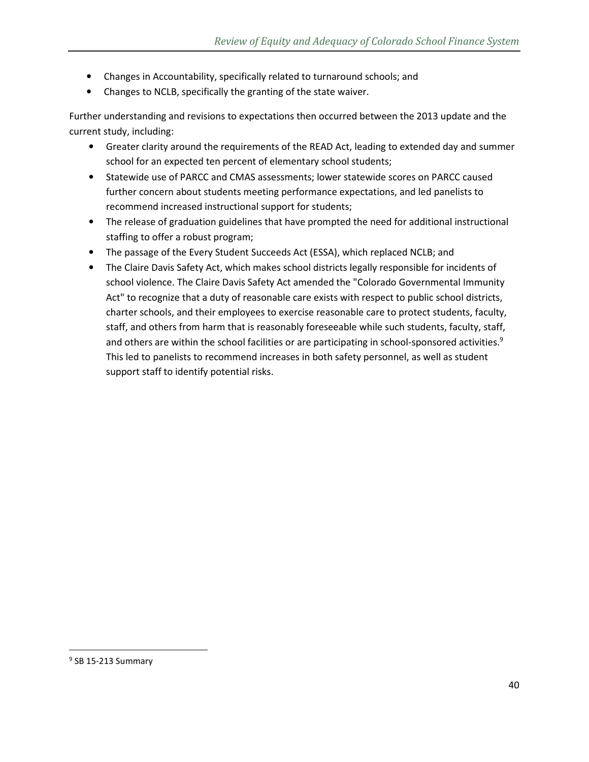- Changes in Accountability, specifically related to turnaround schools; and
- Changes to NCLB, specifically the granting of the state waiver.

Further understanding and revisions to expectations then occurred between the 2013 update and the current study, including:

- Greater clarity around the requirements of the READ Act, leading to extended day and summer school for an expected ten percent of elementary school students;
- Statewide use of PARCC and CMAS assessments; lower statewide scores on PARCC caused further concern about students meeting performance expectations, and led panelists to recommend increased instructional support for students;
- The release of graduation guidelines that have prompted the need for additional instructional staffing to offer a robust program;
- The passage of the Every Student Succeeds Act (ESSA), which replaced NCLB; and
- The Claire Davis Safety Act, which makes school districts legally responsible for incidents of school violence. The Claire Davis Safety Act amended the "Colorado Governmental Immunity Act" to recognize that a duty of reasonable care exists with respect to public school districts, charter schools, and their employees to exercise reasonable care to protect students, faculty, staff, and others from harm that is reasonably foreseeable while such students, faculty, staff, and others are within the school facilities or are participating in school-sponsored activities. $9$ This led to panelists to recommend increases in both safety personnel, as well as student support staff to identify potential risks.

<u>.</u>

<sup>&</sup>lt;sup>9</sup> SB 15-213 Summary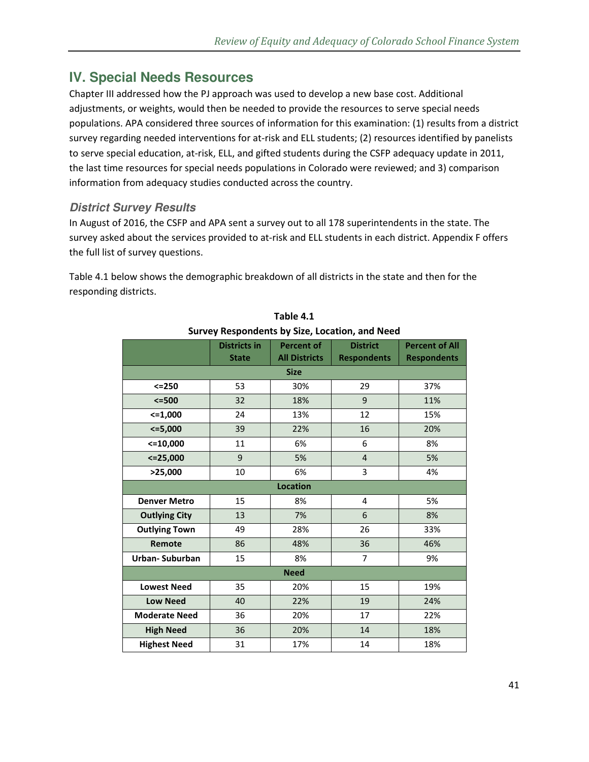# **IV. Special Needs Resources**

Chapter III addressed how the PJ approach was used to develop a new base cost. Additional adjustments, or weights, would then be needed to provide the resources to serve special needs populations. APA considered three sources of information for this examination: (1) results from a district survey regarding needed interventions for at-risk and ELL students; (2) resources identified by panelists to serve special education, at-risk, ELL, and gifted students during the CSFP adequacy update in 2011, the last time resources for special needs populations in Colorado were reviewed; and 3) comparison information from adequacy studies conducted across the country.

### **District Survey Results**

In August of 2016, the CSFP and APA sent a survey out to all 178 superintendents in the state. The survey asked about the services provided to at-risk and ELL students in each district. Appendix F offers the full list of survey questions.

Table 4.1 below shows the demographic breakdown of all districts in the state and then for the responding districts.

|                      | <b>Districts in</b><br><b>State</b> | <b>Percent of</b><br><b>All Districts</b> | <b>District</b><br><b>Respondents</b> | <b>Percent of All</b><br><b>Respondents</b> |
|----------------------|-------------------------------------|-------------------------------------------|---------------------------------------|---------------------------------------------|
|                      |                                     | <b>Size</b>                               |                                       |                                             |
| $<=250$              | 53                                  | 30%                                       | 29                                    | 37%                                         |
| $<=500$              | 32                                  | 18%                                       | 9                                     | 11%                                         |
| $<=1,000$            | 24                                  | 13%                                       | 12                                    | 15%                                         |
| 5,000                | 39                                  | 22%                                       | 16                                    | 20%                                         |
| $<=10,000$           | 11                                  | 6%                                        | 6                                     | 8%                                          |
| $<=$ 25,000          | 9                                   | 5%                                        | $\overline{4}$                        | 5%                                          |
| >25,000              | 10                                  | 6%                                        | 3                                     | 4%                                          |
|                      |                                     | <b>Location</b>                           |                                       |                                             |
| <b>Denver Metro</b>  | 15                                  | 8%                                        | 4                                     | 5%                                          |
| <b>Outlying City</b> | 13                                  | 7%                                        | 6                                     | 8%                                          |
| <b>Outlying Town</b> | 49                                  | 28%                                       | 26                                    | 33%                                         |
| Remote               | 86                                  | 48%                                       | 36                                    | 46%                                         |
| Urban-Suburban       | 15                                  | 8%                                        | $\overline{7}$                        | 9%                                          |
| <b>Need</b>          |                                     |                                           |                                       |                                             |
| <b>Lowest Need</b>   | 35                                  | 20%                                       | 15                                    | 19%                                         |
| <b>Low Need</b>      | 40                                  | 22%                                       | 19                                    | 24%                                         |
| <b>Moderate Need</b> | 36                                  | 20%                                       | 17                                    | 22%                                         |
| <b>High Need</b>     | 36                                  | 20%                                       | 14                                    | 18%                                         |
| <b>Highest Need</b>  | 31                                  | 17%                                       | 14                                    | 18%                                         |

**Table 4.1 Survey Respondents by Size, Location, and Need**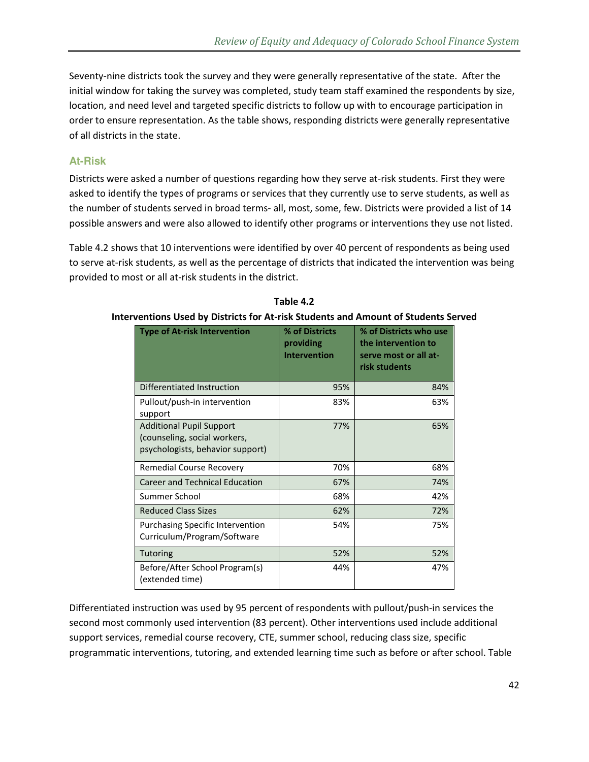Seventy-nine districts took the survey and they were generally representative of the state. After the initial window for taking the survey was completed, study team staff examined the respondents by size, location, and need level and targeted specific districts to follow up with to encourage participation in order to ensure representation. As the table shows, responding districts were generally representative of all districts in the state.

### **At-Risk**

Districts were asked a number of questions regarding how they serve at-risk students. First they were asked to identify the types of programs or services that they currently use to serve students, as well as the number of students served in broad terms- all, most, some, few. Districts were provided a list of 14 possible answers and were also allowed to identify other programs or interventions they use not listed.

Table 4.2 shows that 10 interventions were identified by over 40 percent of respondents as being used to serve at-risk students, as well as the percentage of districts that indicated the intervention was being provided to most or all at-risk students in the district.

| <b>Type of At-risk Intervention</b>                                                                 | % of Districts<br>providing<br><b>Intervention</b> | % of Districts who use<br>the intervention to<br>serve most or all at-<br>risk students |
|-----------------------------------------------------------------------------------------------------|----------------------------------------------------|-----------------------------------------------------------------------------------------|
| Differentiated Instruction                                                                          | 95%                                                | 84%                                                                                     |
| Pullout/push-in intervention<br>support                                                             | 83%                                                | 63%                                                                                     |
| <b>Additional Pupil Support</b><br>(counseling, social workers,<br>psychologists, behavior support) | 77%                                                | 65%                                                                                     |
| Remedial Course Recovery                                                                            | 70%                                                | 68%                                                                                     |
| <b>Career and Technical Education</b>                                                               | 67%                                                | 74%                                                                                     |
| Summer School                                                                                       | 68%                                                | 42%                                                                                     |
| <b>Reduced Class Sizes</b>                                                                          | 62%                                                | 72%                                                                                     |
| <b>Purchasing Specific Intervention</b><br>Curriculum/Program/Software                              | 54%                                                | 75%                                                                                     |
| Tutoring                                                                                            | 52%                                                | 52%                                                                                     |
| Before/After School Program(s)<br>(extended time)                                                   | 44%                                                | 47%                                                                                     |

**Table 4.2** 

### **Interventions Used by Districts for At-risk Students and Amount of Students Served**

Differentiated instruction was used by 95 percent of respondents with pullout/push-in services the second most commonly used intervention (83 percent). Other interventions used include additional support services, remedial course recovery, CTE, summer school, reducing class size, specific programmatic interventions, tutoring, and extended learning time such as before or after school. Table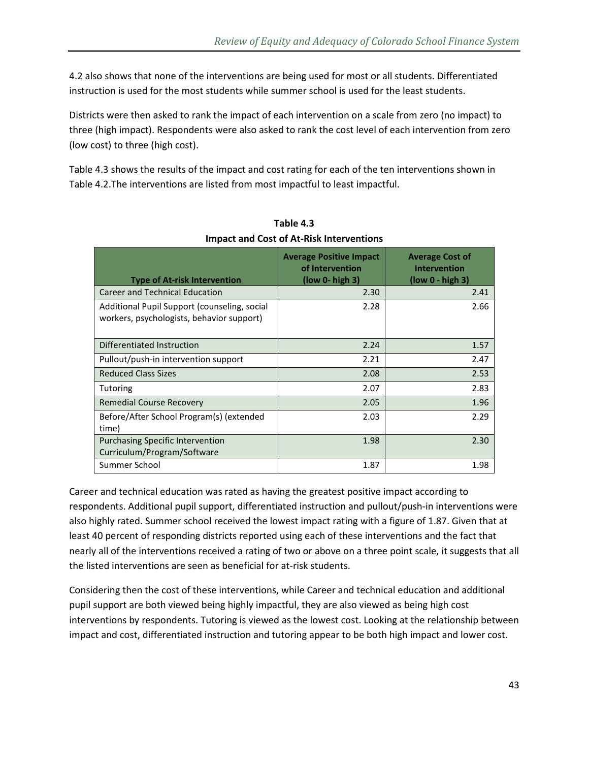4.2 also shows that none of the interventions are being used for most or all students. Differentiated instruction is used for the most students while summer school is used for the least students.

Districts were then asked to rank the impact of each intervention on a scale from zero (no impact) to three (high impact). Respondents were also asked to rank the cost level of each intervention from zero (low cost) to three (high cost).

Table 4.3 shows the results of the impact and cost rating for each of the ten interventions shown in Table 4.2.The interventions are listed from most impactful to least impactful.

| <b>Type of At-risk Intervention</b>                                                       | <b>Average Positive Impact</b><br>of Intervention<br>$(low 0 - high 3)$ | <b>Average Cost of</b><br><b>Intervention</b><br>$(low 0 - high 3)$ |
|-------------------------------------------------------------------------------------------|-------------------------------------------------------------------------|---------------------------------------------------------------------|
| <b>Career and Technical Education</b>                                                     | 2.30                                                                    | 2.41                                                                |
| Additional Pupil Support (counseling, social<br>workers, psychologists, behavior support) | 2.28                                                                    | 2.66                                                                |
| Differentiated Instruction                                                                | 2.24                                                                    | 1.57                                                                |
| Pullout/push-in intervention support                                                      | 2.21                                                                    | 2.47                                                                |
| <b>Reduced Class Sizes</b>                                                                | 2.08                                                                    | 2.53                                                                |
| Tutoring                                                                                  | 2.07                                                                    | 2.83                                                                |
| <b>Remedial Course Recovery</b>                                                           | 2.05                                                                    | 1.96                                                                |
| Before/After School Program(s) (extended<br>time)                                         | 2.03                                                                    | 2.29                                                                |
| <b>Purchasing Specific Intervention</b><br>Curriculum/Program/Software                    | 1.98                                                                    | 2.30                                                                |
| Summer School                                                                             | 1.87                                                                    | 1.98                                                                |

**Table 4.3 Impact and Cost of At-Risk Interventions** 

Career and technical education was rated as having the greatest positive impact according to respondents. Additional pupil support, differentiated instruction and pullout/push-in interventions were also highly rated. Summer school received the lowest impact rating with a figure of 1.87. Given that at least 40 percent of responding districts reported using each of these interventions and the fact that nearly all of the interventions received a rating of two or above on a three point scale, it suggests that all the listed interventions are seen as beneficial for at-risk students.

Considering then the cost of these interventions, while Career and technical education and additional pupil support are both viewed being highly impactful, they are also viewed as being high cost interventions by respondents. Tutoring is viewed as the lowest cost. Looking at the relationship between impact and cost, differentiated instruction and tutoring appear to be both high impact and lower cost.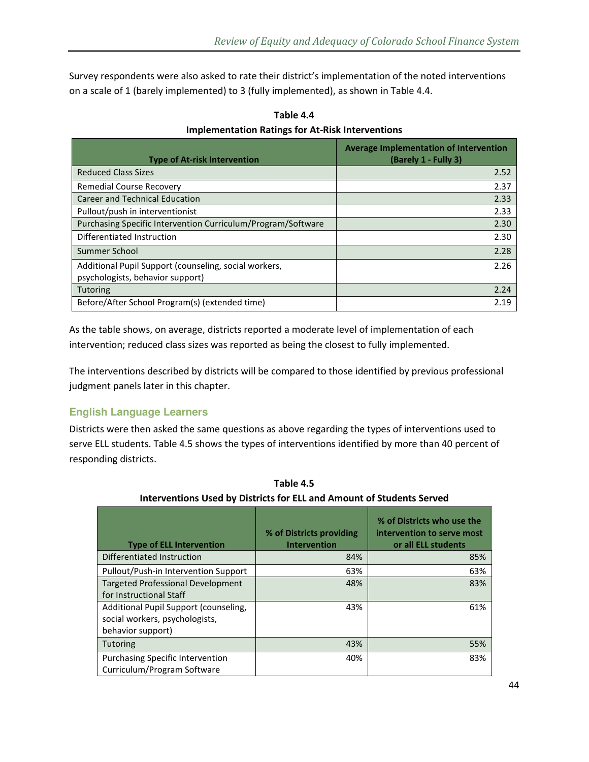Survey respondents were also asked to rate their district's implementation of the noted interventions on a scale of 1 (barely implemented) to 3 (fully implemented), as shown in Table 4.4.

| <b>Type of At-risk Intervention</b>                                                       | Average Implementation of Intervention<br>(Barely 1 - Fully 3) |
|-------------------------------------------------------------------------------------------|----------------------------------------------------------------|
| <b>Reduced Class Sizes</b>                                                                | 2.52                                                           |
| <b>Remedial Course Recovery</b>                                                           | 2.37                                                           |
| <b>Career and Technical Education</b>                                                     | 2.33                                                           |
| Pullout/push in interventionist                                                           | 2.33                                                           |
| Purchasing Specific Intervention Curriculum/Program/Software                              | 2.30                                                           |
| Differentiated Instruction                                                                | 2.30                                                           |
| Summer School                                                                             | 2.28                                                           |
| Additional Pupil Support (counseling, social workers,<br>psychologists, behavior support) | 2.26                                                           |
| <b>Tutoring</b>                                                                           | 2.24                                                           |
| Before/After School Program(s) (extended time)                                            | 2.19                                                           |

**Table 4.4 Implementation Ratings for At-Risk Interventions** 

As the table shows, on average, districts reported a moderate level of implementation of each intervention; reduced class sizes was reported as being the closest to fully implemented.

The interventions described by districts will be compared to those identified by previous professional judgment panels later in this chapter.

### **English Language Learners**

Districts were then asked the same questions as above regarding the types of interventions used to serve ELL students. Table 4.5 shows the types of interventions identified by more than 40 percent of responding districts.

| <b>Type of ELL Intervention</b>                                                              | % of Districts providing<br><b>Intervention</b> | % of Districts who use the<br>intervention to serve most<br>or all ELL students |
|----------------------------------------------------------------------------------------------|-------------------------------------------------|---------------------------------------------------------------------------------|
| Differentiated Instruction                                                                   | 84%                                             | 85%                                                                             |
| Pullout/Push-in Intervention Support                                                         | 63%                                             | 63%                                                                             |
| <b>Targeted Professional Development</b><br>for Instructional Staff                          | 48%                                             | 83%                                                                             |
| Additional Pupil Support (counseling,<br>social workers, psychologists,<br>behavior support) | 43%                                             | 61%                                                                             |
| <b>Tutoring</b>                                                                              | 43%                                             | 55%                                                                             |
| <b>Purchasing Specific Intervention</b><br>Curriculum/Program Software                       | 40%                                             | 83%                                                                             |

**Table 4.5 Interventions Used by Districts for ELL and Amount of Students Served**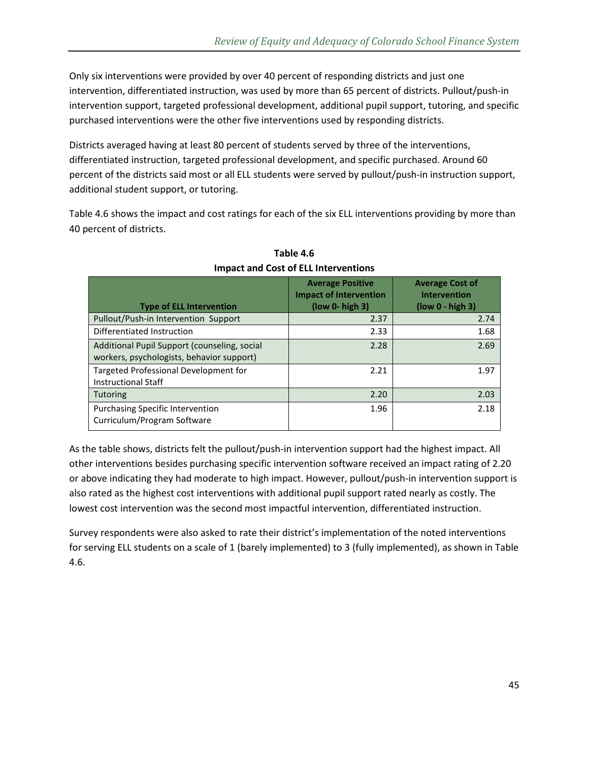Only six interventions were provided by over 40 percent of responding districts and just one intervention, differentiated instruction, was used by more than 65 percent of districts. Pullout/push-in intervention support, targeted professional development, additional pupil support, tutoring, and specific purchased interventions were the other five interventions used by responding districts.

Districts averaged having at least 80 percent of students served by three of the interventions, differentiated instruction, targeted professional development, and specific purchased. Around 60 percent of the districts said most or all ELL students were served by pullout/push-in instruction support, additional student support, or tutoring.

Table 4.6 shows the impact and cost ratings for each of the six ELL interventions providing by more than 40 percent of districts.

| <b>Type of ELL Intervention</b>                                                           | <b>Average Positive</b><br><b>Impact of Intervention</b><br>$(low 0 - high 3)$ | <b>Average Cost of</b><br><b>Intervention</b><br>$\left(\frac{\mu}{2} - \frac{\mu}{2}\right)$ |
|-------------------------------------------------------------------------------------------|--------------------------------------------------------------------------------|-----------------------------------------------------------------------------------------------|
| Pullout/Push-in Intervention Support                                                      | 2.37                                                                           | 2.74                                                                                          |
| Differentiated Instruction                                                                | 2.33                                                                           | 1.68                                                                                          |
| Additional Pupil Support (counseling, social<br>workers, psychologists, behavior support) | 2.28                                                                           | 2.69                                                                                          |
| Targeted Professional Development for<br><b>Instructional Staff</b>                       | 2.21                                                                           | 1.97                                                                                          |
| <b>Tutoring</b>                                                                           | 2.20                                                                           | 2.03                                                                                          |
| <b>Purchasing Specific Intervention</b><br>Curriculum/Program Software                    | 1.96                                                                           | 2.18                                                                                          |

**Table 4.6 Impact and Cost of ELL Interventions** 

As the table shows, districts felt the pullout/push-in intervention support had the highest impact. All other interventions besides purchasing specific intervention software received an impact rating of 2.20 or above indicating they had moderate to high impact. However, pullout/push-in intervention support is also rated as the highest cost interventions with additional pupil support rated nearly as costly. The lowest cost intervention was the second most impactful intervention, differentiated instruction.

Survey respondents were also asked to rate their district's implementation of the noted interventions for serving ELL students on a scale of 1 (barely implemented) to 3 (fully implemented), as shown in Table 4.6.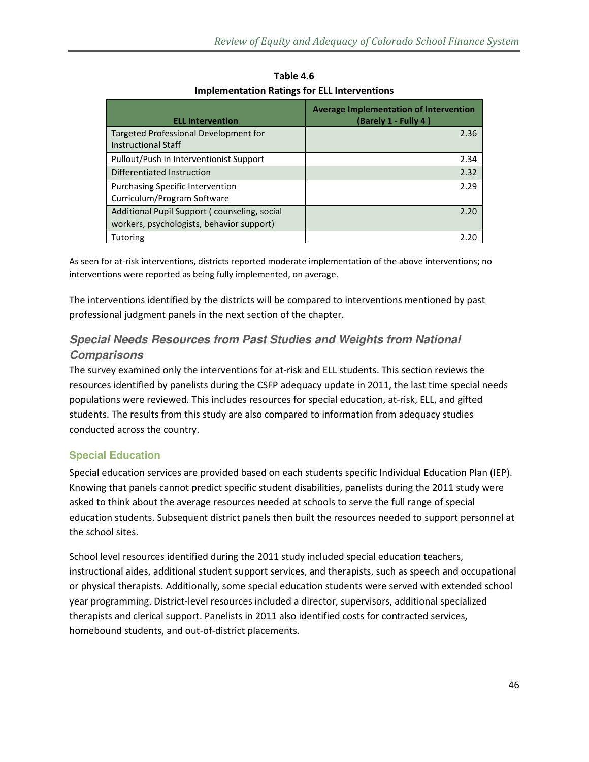| <b>ELL Intervention</b>                                                                   | Average Implementation of Intervention<br>(Barely 1 - Fully 4) |
|-------------------------------------------------------------------------------------------|----------------------------------------------------------------|
| Targeted Professional Development for<br><b>Instructional Staff</b>                       | 2.36                                                           |
| Pullout/Push in Interventionist Support                                                   | 2.34                                                           |
| Differentiated Instruction                                                                | 2.32                                                           |
| <b>Purchasing Specific Intervention</b><br>Curriculum/Program Software                    | 2.29                                                           |
| Additional Pupil Support (counseling, social<br>workers, psychologists, behavior support) | 2 20                                                           |
| Tutoring                                                                                  |                                                                |

**Table 4.6 Implementation Ratings for ELL Interventions** 

As seen for at-risk interventions, districts reported moderate implementation of the above interventions; no interventions were reported as being fully implemented, on average.

The interventions identified by the districts will be compared to interventions mentioned by past professional judgment panels in the next section of the chapter.

# **Special Needs Resources from Past Studies and Weights from National Comparisons**

The survey examined only the interventions for at-risk and ELL students. This section reviews the resources identified by panelists during the CSFP adequacy update in 2011, the last time special needs populations were reviewed. This includes resources for special education, at-risk, ELL, and gifted students. The results from this study are also compared to information from adequacy studies conducted across the country.

### **Special Education**

Special education services are provided based on each students specific Individual Education Plan (IEP). Knowing that panels cannot predict specific student disabilities, panelists during the 2011 study were asked to think about the average resources needed at schools to serve the full range of special education students. Subsequent district panels then built the resources needed to support personnel at the school sites.

School level resources identified during the 2011 study included special education teachers, instructional aides, additional student support services, and therapists, such as speech and occupational or physical therapists. Additionally, some special education students were served with extended school year programming. District-level resources included a director, supervisors, additional specialized therapists and clerical support. Panelists in 2011 also identified costs for contracted services, homebound students, and out-of-district placements.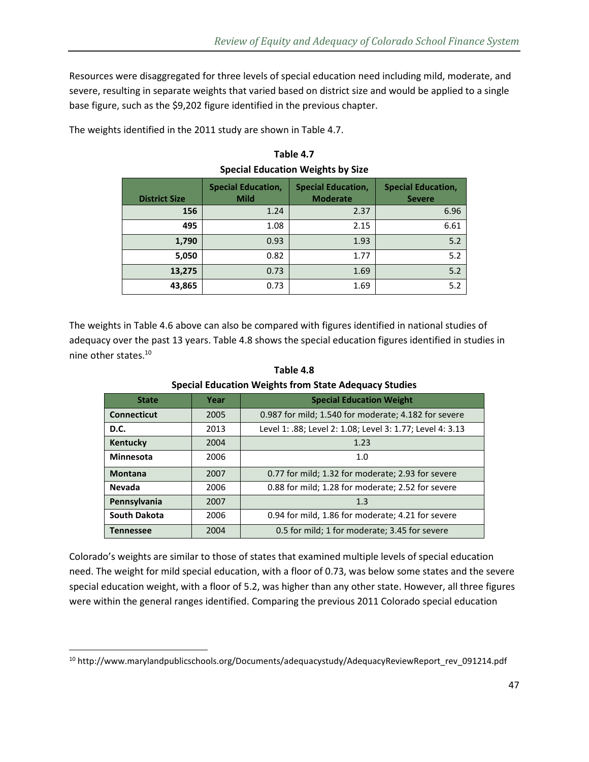Resources were disaggregated for three levels of special education need including mild, moderate, and severe, resulting in separate weights that varied based on district size and would be applied to a single base figure, such as the \$9,202 figure identified in the previous chapter.

The weights identified in the 2011 study are shown in Table 4.7.

| <b>District Size</b> | <b>Special Education,</b><br><b>Mild</b> | <b>Special Education,</b><br><b>Moderate</b> | <b>Special Education,</b><br><b>Severe</b> |
|----------------------|------------------------------------------|----------------------------------------------|--------------------------------------------|
| 156                  | 1.24                                     | 2.37                                         | 6.96                                       |
| 495                  | 1.08                                     | 2.15                                         | 6.61                                       |
| 1,790                | 0.93                                     | 1.93                                         | 5.2                                        |
| 5,050                | 0.82                                     | 1.77                                         | 5.2                                        |
| 13,275               | 0.73                                     | 1.69                                         | 5.2                                        |
| 43,865               | 0.73                                     | 1.69                                         | 5.2                                        |

**Table 4.7 Special Education Weights by Size** 

The weights in Table 4.6 above can also be compared with figures identified in national studies of adequacy over the past 13 years. Table 4.8 shows the special education figures identified in studies in nine other states.<sup>10</sup>

| <b>State</b>        | Year | <b>Special Education Weight</b>                           |
|---------------------|------|-----------------------------------------------------------|
| <b>Connecticut</b>  | 2005 | 0.987 for mild; 1.540 for moderate; 4.182 for severe      |
| D.C.                | 2013 | Level 1: .88; Level 2: 1.08; Level 3: 1.77; Level 4: 3.13 |
| Kentucky            | 2004 | 1.23                                                      |
| <b>Minnesota</b>    | 2006 | 1.0                                                       |
| <b>Montana</b>      | 2007 | 0.77 for mild; 1.32 for moderate; 2.93 for severe         |
| <b>Nevada</b>       | 2006 | 0.88 for mild; 1.28 for moderate; 2.52 for severe         |
| Pennsylvania        | 2007 | 1.3                                                       |
| <b>South Dakota</b> | 2006 | 0.94 for mild, 1.86 for moderate; 4.21 for severe         |
| <b>Tennessee</b>    | 2004 | 0.5 for mild; 1 for moderate; 3.45 for severe             |

**Table 4.8 Special Education Weights from State Adequacy Studies** 

Colorado's weights are similar to those of states that examined multiple levels of special education need. The weight for mild special education, with a floor of 0.73, was below some states and the severe special education weight, with a floor of 5.2, was higher than any other state. However, all three figures were within the general ranges identified. Comparing the previous 2011 Colorado special education

 $\overline{\phantom{0}}$ 

<sup>10</sup> http://www.marylandpublicschools.org/Documents/adequacystudy/AdequacyReviewReport\_rev\_091214.pdf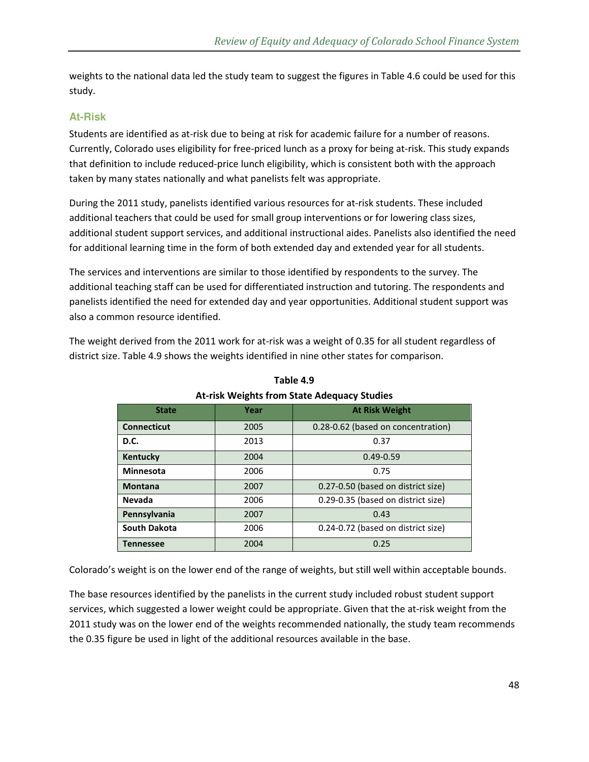weights to the national data led the study team to suggest the figures in Table 4.6 could be used for this study.

### **At-Risk**

Students are identified as at-risk due to being at risk for academic failure for a number of reasons. Currently, Colorado uses eligibility for free-priced lunch as a proxy for being at-risk. This study expands that definition to include reduced-price lunch eligibility, which is consistent both with the approach taken by many states nationally and what panelists felt was appropriate.

During the 2011 study, panelists identified various resources for at-risk students. These included additional teachers that could be used for small group interventions or for lowering class sizes, additional student support services, and additional instructional aides. Panelists also identified the need for additional learning time in the form of both extended day and extended year for all students.

The services and interventions are similar to those identified by respondents to the survey. The additional teaching staff can be used for differentiated instruction and tutoring. The respondents and panelists identified the need for extended day and year opportunities. Additional student support was also a common resource identified.

The weight derived from the 2011 work for at-risk was a weight of 0.35 for all student regardless of district size. Table 4.9 shows the weights identified in nine other states for comparison.

| <b>State</b>        | Year | <b>At Risk Weight</b>              |  |  |
|---------------------|------|------------------------------------|--|--|
| <b>Connecticut</b>  | 2005 | 0.28-0.62 (based on concentration) |  |  |
| <b>D.C.</b>         | 2013 | 0.37                               |  |  |
| Kentucky            | 2004 | $0.49 - 0.59$                      |  |  |
| <b>Minnesota</b>    | 2006 | 0.75                               |  |  |
| <b>Montana</b>      | 2007 | 0.27-0.50 (based on district size) |  |  |
| <b>Nevada</b>       | 2006 | 0.29-0.35 (based on district size) |  |  |
| Pennsylvania        | 2007 | 0.43                               |  |  |
| <b>South Dakota</b> | 2006 | 0.24-0.72 (based on district size) |  |  |
| <b>Tennessee</b>    | 2004 | 0.25                               |  |  |

**Table 4.9 At-risk Weights from State Adequacy Studies** 

Colorado's weight is on the lower end of the range of weights, but still well within acceptable bounds.

The base resources identified by the panelists in the current study included robust student support services, which suggested a lower weight could be appropriate. Given that the at-risk weight from the 2011 study was on the lower end of the weights recommended nationally, the study team recommends the 0.35 figure be used in light of the additional resources available in the base.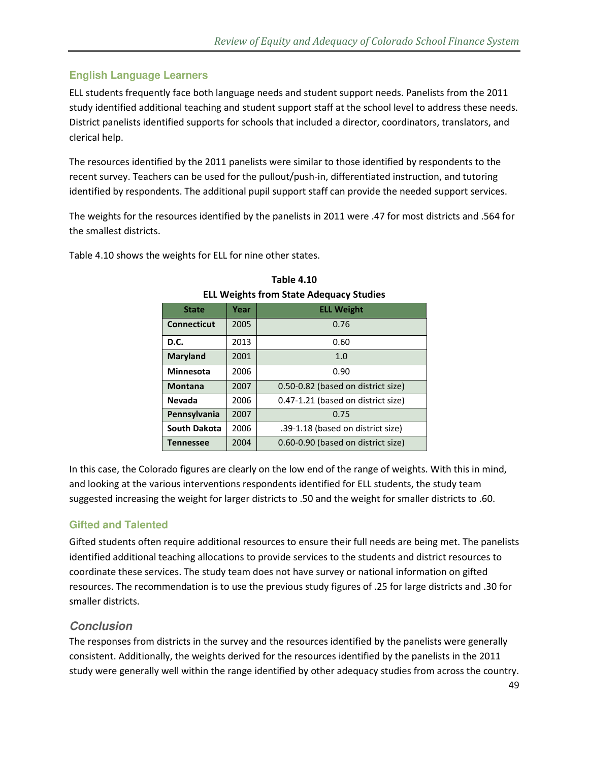### **English Language Learners**

ELL students frequently face both language needs and student support needs. Panelists from the 2011 study identified additional teaching and student support staff at the school level to address these needs. District panelists identified supports for schools that included a director, coordinators, translators, and clerical help.

The resources identified by the 2011 panelists were similar to those identified by respondents to the recent survey. Teachers can be used for the pullout/push-in, differentiated instruction, and tutoring identified by respondents. The additional pupil support staff can provide the needed support services.

The weights for the resources identified by the panelists in 2011 were .47 for most districts and .564 for the smallest districts.

Table 4.10 shows the weights for ELL for nine other states.

| -- -- eights nom otate hacquay otaales |      |                                    |  |  |  |  |  |
|----------------------------------------|------|------------------------------------|--|--|--|--|--|
| <b>State</b>                           | Year | <b>ELL Weight</b>                  |  |  |  |  |  |
| <b>Connecticut</b>                     | 2005 | 0.76                               |  |  |  |  |  |
| D.C.                                   | 2013 | 0.60                               |  |  |  |  |  |
| <b>Maryland</b>                        | 2001 | 1.0                                |  |  |  |  |  |
| <b>Minnesota</b>                       | 2006 | 0.90                               |  |  |  |  |  |
| <b>Montana</b>                         | 2007 | 0.50-0.82 (based on district size) |  |  |  |  |  |
| <b>Nevada</b>                          | 2006 | 0.47-1.21 (based on district size) |  |  |  |  |  |
| Pennsylvania                           | 2007 | 0.75                               |  |  |  |  |  |
| <b>South Dakota</b>                    | 2006 | .39-1.18 (based on district size)  |  |  |  |  |  |
| <b>Tennessee</b>                       | 2004 | 0.60-0.90 (based on district size) |  |  |  |  |  |

#### **Table 4.10**

**ELL Weights from State Adequacy Studies** 

In this case, the Colorado figures are clearly on the low end of the range of weights. With this in mind, and looking at the various interventions respondents identified for ELL students, the study team suggested increasing the weight for larger districts to .50 and the weight for smaller districts to .60.

### **Gifted and Talented**

Gifted students often require additional resources to ensure their full needs are being met. The panelists identified additional teaching allocations to provide services to the students and district resources to coordinate these services. The study team does not have survey or national information on gifted resources. The recommendation is to use the previous study figures of .25 for large districts and .30 for smaller districts.

#### **Conclusion**

The responses from districts in the survey and the resources identified by the panelists were generally consistent. Additionally, the weights derived for the resources identified by the panelists in the 2011 study were generally well within the range identified by other adequacy studies from across the country.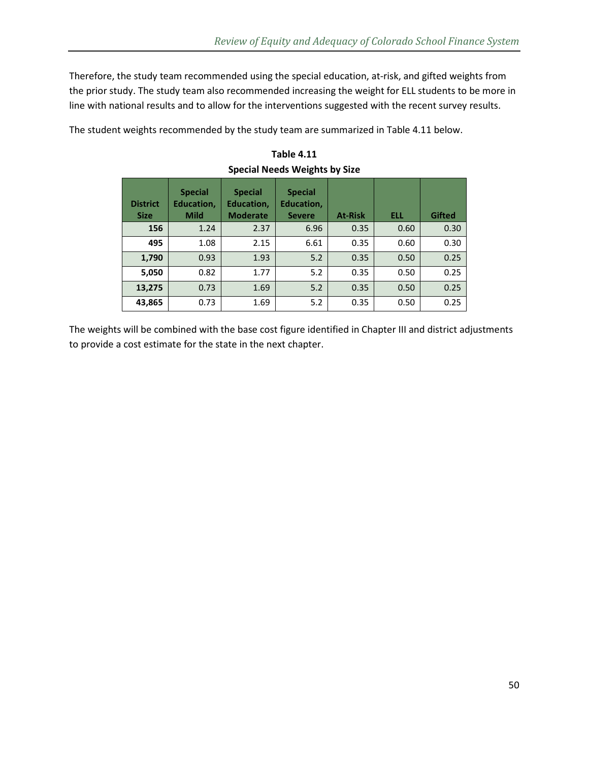Therefore, the study team recommended using the special education, at-risk, and gifted weights from the prior study. The study team also recommended increasing the weight for ELL students to be more in line with national results and to allow for the interventions suggested with the recent survey results.

The student weights recommended by the study team are summarized in Table 4.11 below.

| <b>District</b><br><b>Size</b> | <b>Special</b><br><b>Education,</b><br><b>Mild</b> | <b>Special</b><br>Education,<br><b>Moderate</b> | <b>Special</b><br><b>Education,</b><br><b>Severe</b> | <b>At-Risk</b> | <b>ELL</b> | <b>Gifted</b> |
|--------------------------------|----------------------------------------------------|-------------------------------------------------|------------------------------------------------------|----------------|------------|---------------|
| 156                            | 1.24                                               | 2.37                                            | 6.96                                                 | 0.35           | 0.60       | 0.30          |
| 495                            | 1.08                                               | 2.15                                            | 6.61                                                 | 0.35           | 0.60       | 0.30          |
| 1,790                          | 0.93                                               | 1.93                                            | 5.2                                                  | 0.35           | 0.50       | 0.25          |
| 5,050                          | 0.82                                               | 1.77                                            | 5.2                                                  | 0.35           | 0.50       | 0.25          |
| 13,275                         | 0.73                                               | 1.69                                            | 5.2                                                  | 0.35           | 0.50       | 0.25          |
| 43,865                         | 0.73                                               | 1.69                                            | 5.2                                                  | 0.35           | 0.50       | 0.25          |

**Table 4.11 Special Needs Weights by Size** 

The weights will be combined with the base cost figure identified in Chapter III and district adjustments to provide a cost estimate for the state in the next chapter.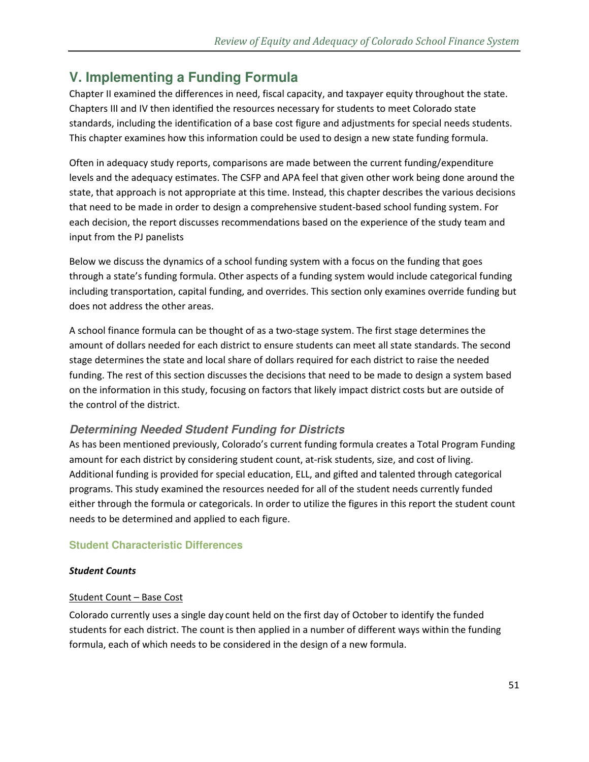# **V. Implementing a Funding Formula**

Chapter II examined the differences in need, fiscal capacity, and taxpayer equity throughout the state. Chapters III and IV then identified the resources necessary for students to meet Colorado state standards, including the identification of a base cost figure and adjustments for special needs students. This chapter examines how this information could be used to design a new state funding formula.

Often in adequacy study reports, comparisons are made between the current funding/expenditure levels and the adequacy estimates. The CSFP and APA feel that given other work being done around the state, that approach is not appropriate at this time. Instead, this chapter describes the various decisions that need to be made in order to design a comprehensive student-based school funding system. For each decision, the report discusses recommendations based on the experience of the study team and input from the PJ panelists

Below we discuss the dynamics of a school funding system with a focus on the funding that goes through a state's funding formula. Other aspects of a funding system would include categorical funding including transportation, capital funding, and overrides. This section only examines override funding but does not address the other areas.

A school finance formula can be thought of as a two-stage system. The first stage determines the amount of dollars needed for each district to ensure students can meet all state standards. The second stage determines the state and local share of dollars required for each district to raise the needed funding. The rest of this section discusses the decisions that need to be made to design a system based on the information in this study, focusing on factors that likely impact district costs but are outside of the control of the district.

### **Determining Needed Student Funding for Districts**

As has been mentioned previously, Colorado's current funding formula creates a Total Program Funding amount for each district by considering student count, at-risk students, size, and cost of living. Additional funding is provided for special education, ELL, and gifted and talented through categorical programs. This study examined the resources needed for all of the student needs currently funded either through the formula or categoricals. In order to utilize the figures in this report the student count needs to be determined and applied to each figure.

### **Student Characteristic Differences**

#### *Student Counts*

### Student Count – Base Cost

Colorado currently uses a single day count held on the first day of October to identify the funded students for each district. The count is then applied in a number of different ways within the funding formula, each of which needs to be considered in the design of a new formula.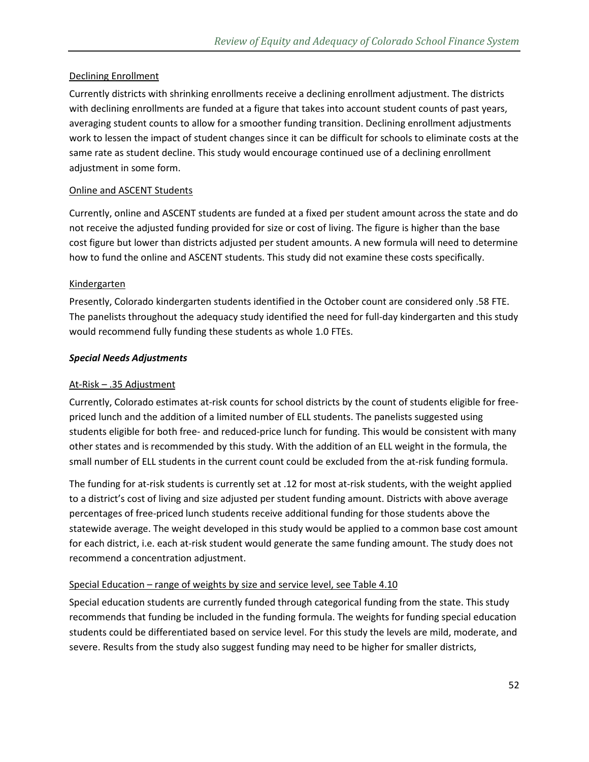#### Declining Enrollment

Currently districts with shrinking enrollments receive a declining enrollment adjustment. The districts with declining enrollments are funded at a figure that takes into account student counts of past years, averaging student counts to allow for a smoother funding transition. Declining enrollment adjustments work to lessen the impact of student changes since it can be difficult for schools to eliminate costs at the same rate as student decline. This study would encourage continued use of a declining enrollment adjustment in some form.

#### Online and ASCENT Students

Currently, online and ASCENT students are funded at a fixed per student amount across the state and do not receive the adjusted funding provided for size or cost of living. The figure is higher than the base cost figure but lower than districts adjusted per student amounts. A new formula will need to determine how to fund the online and ASCENT students. This study did not examine these costs specifically.

#### Kindergarten

Presently, Colorado kindergarten students identified in the October count are considered only .58 FTE. The panelists throughout the adequacy study identified the need for full-day kindergarten and this study would recommend fully funding these students as whole 1.0 FTEs.

#### *Special Needs Adjustments*

#### At-Risk – .35 Adjustment

Currently, Colorado estimates at-risk counts for school districts by the count of students eligible for freepriced lunch and the addition of a limited number of ELL students. The panelists suggested using students eligible for both free- and reduced-price lunch for funding. This would be consistent with many other states and is recommended by this study. With the addition of an ELL weight in the formula, the small number of ELL students in the current count could be excluded from the at-risk funding formula.

The funding for at-risk students is currently set at .12 for most at-risk students, with the weight applied to a district's cost of living and size adjusted per student funding amount. Districts with above average percentages of free-priced lunch students receive additional funding for those students above the statewide average. The weight developed in this study would be applied to a common base cost amount for each district, i.e. each at-risk student would generate the same funding amount. The study does not recommend a concentration adjustment.

#### Special Education – range of weights by size and service level, see Table 4.10

Special education students are currently funded through categorical funding from the state. This study recommends that funding be included in the funding formula. The weights for funding special education students could be differentiated based on service level. For this study the levels are mild, moderate, and severe. Results from the study also suggest funding may need to be higher for smaller districts,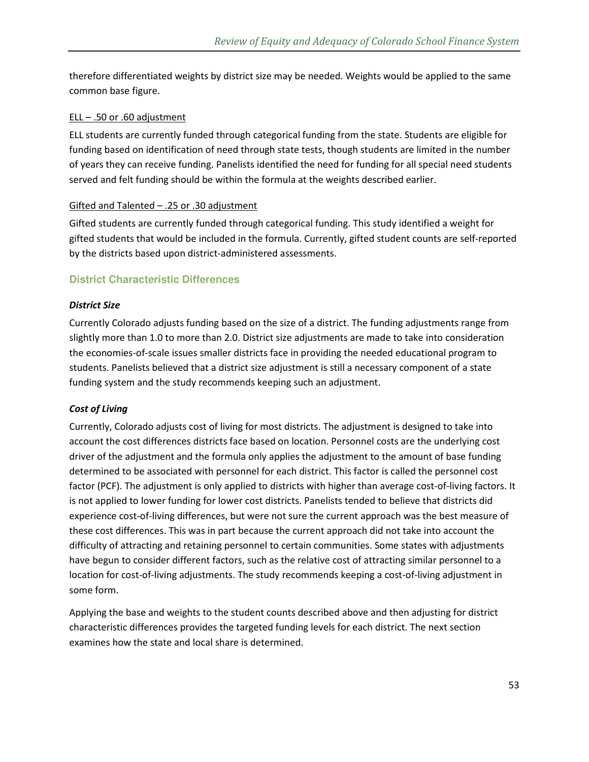therefore differentiated weights by district size may be needed. Weights would be applied to the same common base figure.

#### $ELL - .50$  or  $.60$  adjustment

ELL students are currently funded through categorical funding from the state. Students are eligible for funding based on identification of need through state tests, though students are limited in the number of years they can receive funding. Panelists identified the need for funding for all special need students served and felt funding should be within the formula at the weights described earlier.

#### Gifted and Talented – .25 or .30 adjustment

Gifted students are currently funded through categorical funding. This study identified a weight for gifted students that would be included in the formula. Currently, gifted student counts are self-reported by the districts based upon district-administered assessments.

### **District Characteristic Differences**

#### *District Size*

Currently Colorado adjusts funding based on the size of a district. The funding adjustments range from slightly more than 1.0 to more than 2.0. District size adjustments are made to take into consideration the economies-of-scale issues smaller districts face in providing the needed educational program to students. Panelists believed that a district size adjustment is still a necessary component of a state funding system and the study recommends keeping such an adjustment.

#### *Cost of Living*

Currently, Colorado adjusts cost of living for most districts. The adjustment is designed to take into account the cost differences districts face based on location. Personnel costs are the underlying cost driver of the adjustment and the formula only applies the adjustment to the amount of base funding determined to be associated with personnel for each district. This factor is called the personnel cost factor (PCF). The adjustment is only applied to districts with higher than average cost-of-living factors. It is not applied to lower funding for lower cost districts. Panelists tended to believe that districts did experience cost-of-living differences, but were not sure the current approach was the best measure of these cost differences. This was in part because the current approach did not take into account the difficulty of attracting and retaining personnel to certain communities. Some states with adjustments have begun to consider different factors, such as the relative cost of attracting similar personnel to a location for cost-of-living adjustments. The study recommends keeping a cost-of-living adjustment in some form.

Applying the base and weights to the student counts described above and then adjusting for district characteristic differences provides the targeted funding levels for each district. The next section examines how the state and local share is determined.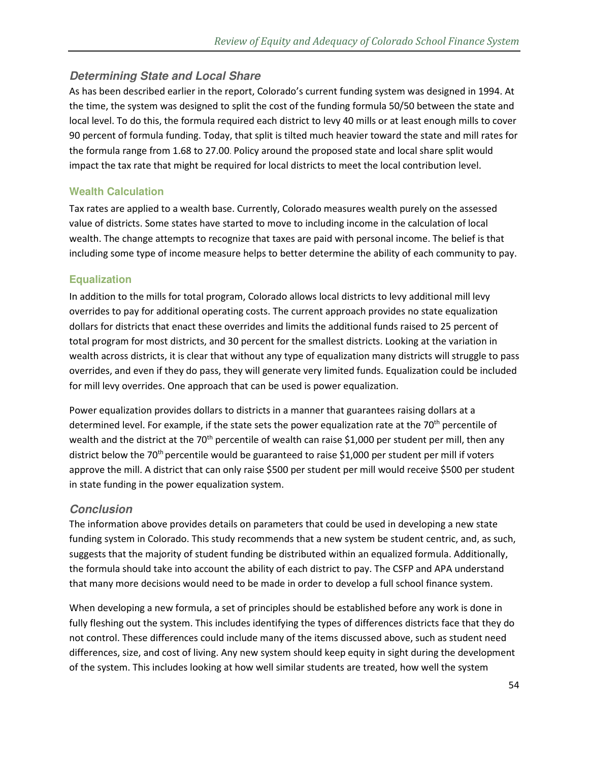### **Determining State and Local Share**

As has been described earlier in the report, Colorado's current funding system was designed in 1994. At the time, the system was designed to split the cost of the funding formula 50/50 between the state and local level. To do this, the formula required each district to levy 40 mills or at least enough mills to cover 90 percent of formula funding. Today, that split is tilted much heavier toward the state and mill rates for the formula range from 1.68 to 27.00. Policy around the proposed state and local share split would impact the tax rate that might be required for local districts to meet the local contribution level.

### **Wealth Calculation**

Tax rates are applied to a wealth base. Currently, Colorado measures wealth purely on the assessed value of districts. Some states have started to move to including income in the calculation of local wealth. The change attempts to recognize that taxes are paid with personal income. The belief is that including some type of income measure helps to better determine the ability of each community to pay.

### **Equalization**

In addition to the mills for total program, Colorado allows local districts to levy additional mill levy overrides to pay for additional operating costs. The current approach provides no state equalization dollars for districts that enact these overrides and limits the additional funds raised to 25 percent of total program for most districts, and 30 percent for the smallest districts. Looking at the variation in wealth across districts, it is clear that without any type of equalization many districts will struggle to pass overrides, and even if they do pass, they will generate very limited funds. Equalization could be included for mill levy overrides. One approach that can be used is power equalization.

Power equalization provides dollars to districts in a manner that guarantees raising dollars at a determined level. For example, if the state sets the power equalization rate at the  $70<sup>th</sup>$  percentile of wealth and the district at the 70<sup>th</sup> percentile of wealth can raise \$1,000 per student per mill, then any district below the 70<sup>th</sup> percentile would be guaranteed to raise \$1,000 per student per mill if voters approve the mill. A district that can only raise \$500 per student per mill would receive \$500 per student in state funding in the power equalization system.

#### **Conclusion**

The information above provides details on parameters that could be used in developing a new state funding system in Colorado. This study recommends that a new system be student centric, and, as such, suggests that the majority of student funding be distributed within an equalized formula. Additionally, the formula should take into account the ability of each district to pay. The CSFP and APA understand that many more decisions would need to be made in order to develop a full school finance system.

When developing a new formula, a set of principles should be established before any work is done in fully fleshing out the system. This includes identifying the types of differences districts face that they do not control. These differences could include many of the items discussed above, such as student need differences, size, and cost of living. Any new system should keep equity in sight during the development of the system. This includes looking at how well similar students are treated, how well the system